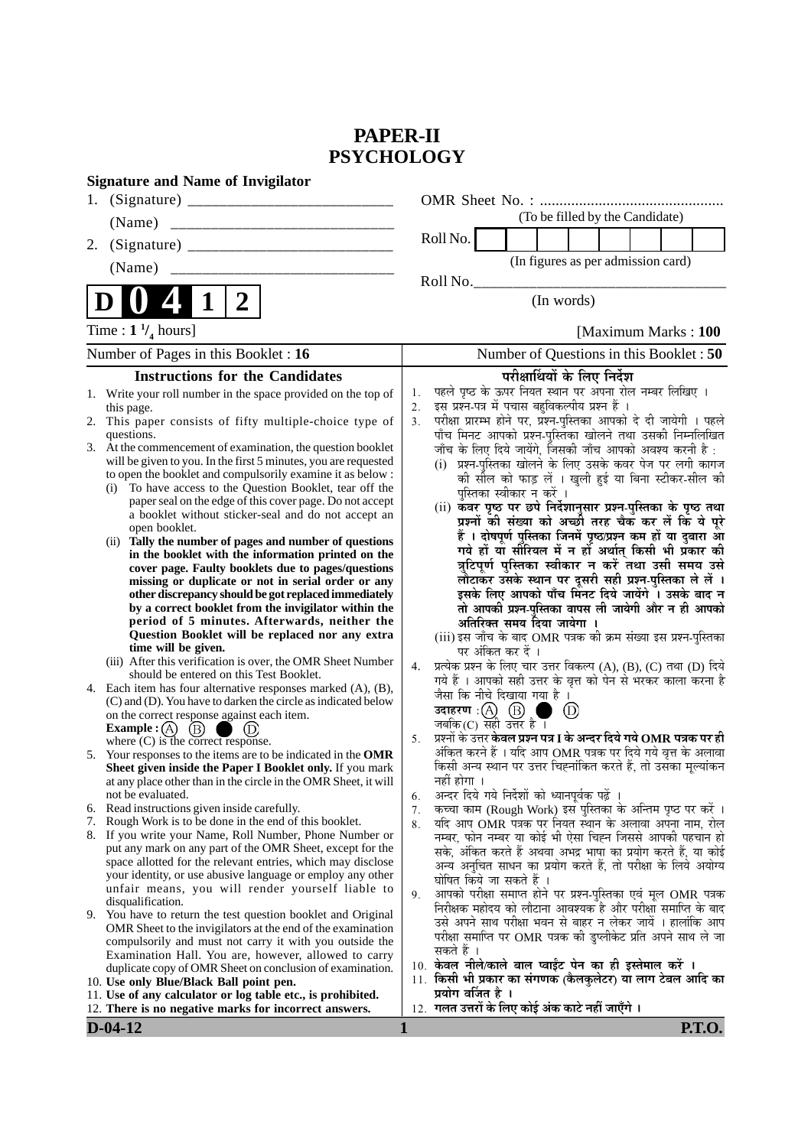# **PAPER-II PSYCHOLOGY**

| <b>Signature and Name of Invigilator</b>                                                                                                                                                                                                                                                                                                                                                                                                                                                                                                                                                                                                                                                                                                                                             |                                                                                                                                                                                                                                                                                                                                                                                                                                                                                                                                                                                                                                                                                                                                                                                             |
|--------------------------------------------------------------------------------------------------------------------------------------------------------------------------------------------------------------------------------------------------------------------------------------------------------------------------------------------------------------------------------------------------------------------------------------------------------------------------------------------------------------------------------------------------------------------------------------------------------------------------------------------------------------------------------------------------------------------------------------------------------------------------------------|---------------------------------------------------------------------------------------------------------------------------------------------------------------------------------------------------------------------------------------------------------------------------------------------------------------------------------------------------------------------------------------------------------------------------------------------------------------------------------------------------------------------------------------------------------------------------------------------------------------------------------------------------------------------------------------------------------------------------------------------------------------------------------------------|
|                                                                                                                                                                                                                                                                                                                                                                                                                                                                                                                                                                                                                                                                                                                                                                                      |                                                                                                                                                                                                                                                                                                                                                                                                                                                                                                                                                                                                                                                                                                                                                                                             |
| (Name)<br>_________________________________                                                                                                                                                                                                                                                                                                                                                                                                                                                                                                                                                                                                                                                                                                                                          | (To be filled by the Candidate)                                                                                                                                                                                                                                                                                                                                                                                                                                                                                                                                                                                                                                                                                                                                                             |
| 2.                                                                                                                                                                                                                                                                                                                                                                                                                                                                                                                                                                                                                                                                                                                                                                                   | Roll No.                                                                                                                                                                                                                                                                                                                                                                                                                                                                                                                                                                                                                                                                                                                                                                                    |
| (Name)                                                                                                                                                                                                                                                                                                                                                                                                                                                                                                                                                                                                                                                                                                                                                                               | (In figures as per admission card)                                                                                                                                                                                                                                                                                                                                                                                                                                                                                                                                                                                                                                                                                                                                                          |
|                                                                                                                                                                                                                                                                                                                                                                                                                                                                                                                                                                                                                                                                                                                                                                                      | Roll No.                                                                                                                                                                                                                                                                                                                                                                                                                                                                                                                                                                                                                                                                                                                                                                                    |
| $\boldsymbol{2}$<br>1                                                                                                                                                                                                                                                                                                                                                                                                                                                                                                                                                                                                                                                                                                                                                                | (In words)                                                                                                                                                                                                                                                                                                                                                                                                                                                                                                                                                                                                                                                                                                                                                                                  |
| Time : $1 \frac{1}{4}$ hours]                                                                                                                                                                                                                                                                                                                                                                                                                                                                                                                                                                                                                                                                                                                                                        | [Maximum Marks: 100                                                                                                                                                                                                                                                                                                                                                                                                                                                                                                                                                                                                                                                                                                                                                                         |
| Number of Pages in this Booklet : 16                                                                                                                                                                                                                                                                                                                                                                                                                                                                                                                                                                                                                                                                                                                                                 | Number of Questions in this Booklet: 50                                                                                                                                                                                                                                                                                                                                                                                                                                                                                                                                                                                                                                                                                                                                                     |
| <b>Instructions for the Candidates</b>                                                                                                                                                                                                                                                                                                                                                                                                                                                                                                                                                                                                                                                                                                                                               | परीक्षार्थियों के लिए निर्देश                                                                                                                                                                                                                                                                                                                                                                                                                                                                                                                                                                                                                                                                                                                                                               |
| Write your roll number in the space provided on the top of<br>1.<br>this page.<br>This paper consists of fifty multiple-choice type of<br>2.<br>questions.<br>3. At the commencement of examination, the question booklet<br>will be given to you. In the first 5 minutes, you are requested<br>to open the booklet and compulsorily examine it as below :<br>To have access to the Question Booklet, tear off the<br>(i)<br>paper seal on the edge of this cover page. Do not accept<br>a booklet without sticker-seal and do not accept an<br>open booklet.<br>(ii) Tally the number of pages and number of questions<br>in the booklet with the information printed on the<br>cover page. Faulty booklets due to pages/questions                                                  | पहले पृष्ठ के ऊपर नियत स्थान पर अपना रोल नम्बर लिखिए ।<br>1.<br>इस प्रश्न-पत्र में पचास बहुविकल्पीय प्रश्न हैं ।<br>2.<br>परीक्षा प्रारम्भ होने पर, प्रश्न-पुस्तिका आपको दे दी जायेगी । पहले<br>3.<br>पाँच मिनट आपको प्रश्न-पुस्तिका खोलने तथा उसकी निम्नलिखित<br>जाँच के लिए दिये जायेंगे, जिसकी जाँच आपको अवश्य करनी है :<br>(i) प्रश्न-पुस्तिका खोलने के लिए उसके कवर पेज पर लगी कागज<br>की सील को फाड़ लें । खुली हुई या बिना स्टीकर-सील की<br>पुस्तिका स्वीकार न करें ।<br>(ii) कवर पृष्ठ पर छपे निर्देशानुसार प्रश्न-पुस्तिका के पृष्ठ तथा<br>प्रश्नों की संख्या को अच्छी तरह चैक कर लें कि ये पूरे<br>हैं । दोषपूर्ण पुस्तिका जिनमें पृष्ठ/प्रश्न कम हों या दुबारा आ<br>गये हों या सौरियल में न हों अर्थात् किसी भी प्रकार की<br>त्रुटिपूर्ण पुस्तिका स्वीकार न करें तथा उसी समय उसे |
| missing or duplicate or not in serial order or any<br>other discrepancy should be got replaced immediately<br>by a correct booklet from the invigilator within the<br>period of 5 minutes. Afterwards, neither the<br>Question Booklet will be replaced nor any extra<br>time will be given.<br>(iii) After this verification is over, the OMR Sheet Number<br>should be entered on this Test Booklet.<br>4. Each item has four alternative responses marked (A), (B),<br>(C) and (D). You have to darken the circle as indicated below<br>on the correct response against each item.<br>Example : $(A)$<br>(B)<br>where $(C)$ is the correct response.<br>5. Your responses to the items are to be indicated in the OMR<br>Sheet given inside the Paper I Booklet only. If you mark | लौटाकर उसके स्थान पर दूसरी सही प्रश्न-पुस्तिका ले लें ।<br>इसके लिए आपको पाँच मिनट दिये जायेंगे । उसके बाद न<br>तो आपकी प्रश्न-पुस्तिका वापस ली जायेगी और न ही आपको<br>अतिरिक्त समय दिया जायेगा ।<br>(iii) इस जाँच के बाद OMR पत्रक की क्रम संख्या इस प्रश्न-पुस्तिका<br>पर अंकित कर दें ।<br>प्रत्येक प्रश्न के लिए चार उत्तर विकल्प (A), (B), (C) तथा (D) दिये<br>4.<br>गये हैं । आपको सही उत्तर के वृत्त को पेन से भरकर काला करना है<br>जैसा कि नीचे दिखाया गया है ।<br>उदाहरण: $(A)$ $(B)$<br>$\circled{\scriptstyle D}$<br>जबकि(C) सही उत्तर है।<br>प्रश्नों के उत्तर <b>केवल प्रश्न पत्र I के अन्दर दिये गये OMR पत्रक पर ही</b><br>5.<br>अंकित करने हैं । यदि आप OMR पत्रक पर दिये गये वृत्त के अलावा<br>किसी अन्य स्थान पर उत्तर चिह्नांकित करते हैं, तो उसका मूल्यांकन             |
| at any place other than in the circle in the OMR Sheet, it will<br>not be evaluated.<br>6. Read instructions given inside carefully.<br>7. Rough Work is to be done in the end of this booklet.                                                                                                                                                                                                                                                                                                                                                                                                                                                                                                                                                                                      | नहीं होगा ।<br>अन्दर दिये गये निर्देशों को ध्यानपूर्वक पढ़ें ।<br>6.<br>कच्चा काम (Rough Work) इस पुस्तिका के अन्तिम पृष्ठ पर करें ।<br>7.<br>यदि आप OMR पत्रक पर नियत स्थान के अलावा अपना नाम, रोल<br>8.                                                                                                                                                                                                                                                                                                                                                                                                                                                                                                                                                                                   |
| 8. If you write your Name, Roll Number, Phone Number or<br>put any mark on any part of the OMR Sheet, except for the<br>space allotted for the relevant entries, which may disclose<br>your identity, or use abusive language or employ any other<br>unfair means, you will render yourself liable to<br>disqualification.                                                                                                                                                                                                                                                                                                                                                                                                                                                           | नम्बर, फोन नम्बर या कोई भी ऐसा चिह्न जिससे आपकी पहचान हो<br>सके, अंकित करते हैं अथवा अभद्र भाषा का प्रयोग करते हैं, या कोई<br>अन्य अनुचित साधन का प्रयोग करते हैं, तो परीक्षा के लिये अयोग्य<br>घोषित किये जा सकते हैं ।<br>आपको परीक्षा समाप्त होने पर प्रश्न-पुस्तिका एवं मूल OMR पत्रक<br>9.<br>निरीक्षक महोदय को लौटाना आवश्यक है और परीक्षा समाप्ति के बाद                                                                                                                                                                                                                                                                                                                                                                                                                             |
| 9. You have to return the test question booklet and Original<br>OMR Sheet to the invigilators at the end of the examination<br>compulsorily and must not carry it with you outside the<br>Examination Hall. You are, however, allowed to carry<br>duplicate copy of OMR Sheet on conclusion of examination.<br>10. Use only Blue/Black Ball point pen.<br>11. Use of any calculator or log table etc., is prohibited.<br>12. There is no negative marks for incorrect answers.                                                                                                                                                                                                                                                                                                       | उसे अपने साथ परीक्षा भवन से बाहर न लेकर जायें । हालांकि आप<br>परीक्षा समाप्ति पर OMR पत्रक की डुप्लीकेट प्रति अपने साथ ले जा<br>सकते हैं ।<br>10. केवल नीले/काले बाल प्वाईंट पेन का ही इस्तेमाल करें ।<br>11. किसी भी प्रकार का संगणक (कैलकुलेटर) या लाग टेबल आदि का<br>प्रयोग वर्जित है ।<br>12. गलत उत्तरों के लिए कोई अंक काटे नहीं जाएँगे ।                                                                                                                                                                                                                                                                                                                                                                                                                                             |
| $D-04-12$                                                                                                                                                                                                                                                                                                                                                                                                                                                                                                                                                                                                                                                                                                                                                                            | <b>P.T.O.</b><br>1                                                                                                                                                                                                                                                                                                                                                                                                                                                                                                                                                                                                                                                                                                                                                                          |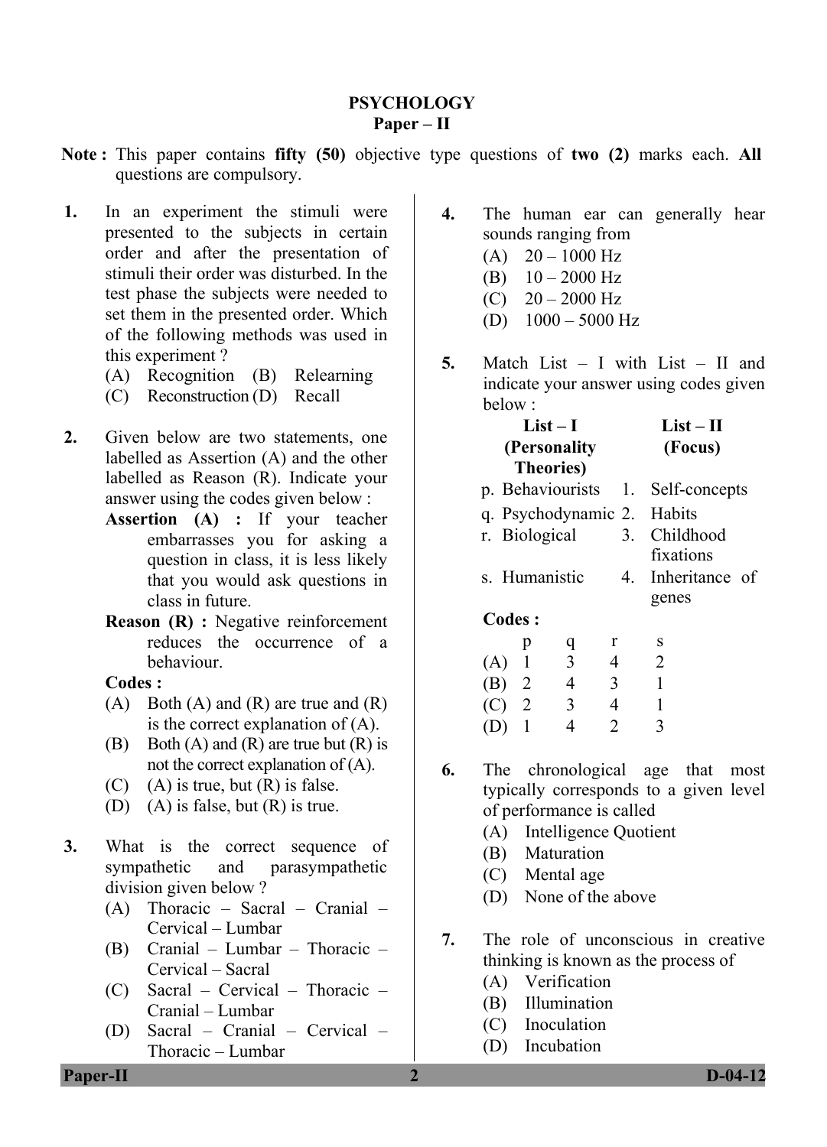# **PSYCHOLOGY Paper – II**

- **Note :** This paper contains **fifty (50)** objective type questions of **two (2)** marks each. **All** questions are compulsory.
- **1.** In an experiment the stimuli were presented to the subjects in certain order and after the presentation of stimuli their order was disturbed. In the test phase the subjects were needed to set them in the presented order. Which of the following methods was used in this experiment ?
	- (A) Recognition (B) Relearning
	- (C) Reconstruction (D) Recall
- **2.** Given below are two statements, one labelled as Assertion (A) and the other labelled as Reason (R). Indicate your answer using the codes given below :
	- **Assertion (A) :** If your teacher embarrasses you for asking a question in class, it is less likely that you would ask questions in class in future.
	- **Reason (R) :** Negative reinforcement reduces the occurrence of a behaviour.

## **Codes :**

- $(A)$  Both  $(A)$  and  $(R)$  are true and  $(R)$ is the correct explanation of (A).
- (B) Both  $(A)$  and  $(R)$  are true but  $(R)$  is not the correct explanation of (A).
- $(C)$  (A) is true, but  $(R)$  is false.
- (D) (A) is false, but (R) is true.
- **3.** What is the correct sequence of sympathetic and parasympathetic division given below ?
	- (A) Thoracic Sacral Cranial Cervical – Lumbar
	- (B) Cranial Lumbar Thoracic Cervical – Sacral
	- (C) Sacral Cervical Thoracic Cranial – Lumbar
	- (D) Sacral Cranial Cervical Thoracic – Lumbar
- **4.** The human ear can generally hear sounds ranging from
	- $(A)$  20 1000 Hz
	- (B)  $10 2000$  Hz
	- $(C)$  20 2000 Hz
	- (D)  $1000 5000$  Hz
- **5.** Match List I with List II and indicate your answer using codes given below :

| $List-I$          | $List-II$ |
|-------------------|-----------|
| (Personality      | (Focus)   |
| <b>Theories</b> ) |           |

- p. Behaviourists 1. Self-concepts
- q. Psychodynamic 2. Habits
- r. Biological 3. Childhood fixations
- s. Humanistic 4. Inheritance of genes

**Codes :** 

|         | р | a | r | S |
|---------|---|---|---|---|
| (A)     |   | 3 | 4 | 2 |
| (B) 2   |   | 4 | 3 |   |
| $(C)$ 2 |   | 3 | 4 |   |
| (D)     |   | Δ | 2 | 3 |

- **6.** The chronological age that most typically corresponds to a given level of performance is called
	- (A) Intelligence Quotient
	- (B) Maturation
	- (C) Mental age
	- (D) None of the above
- **7.** The role of unconscious in creative thinking is known as the process of
	- (A) Verification
	- (B) Illumination
	- (C) Inoculation
	- (D) Incubation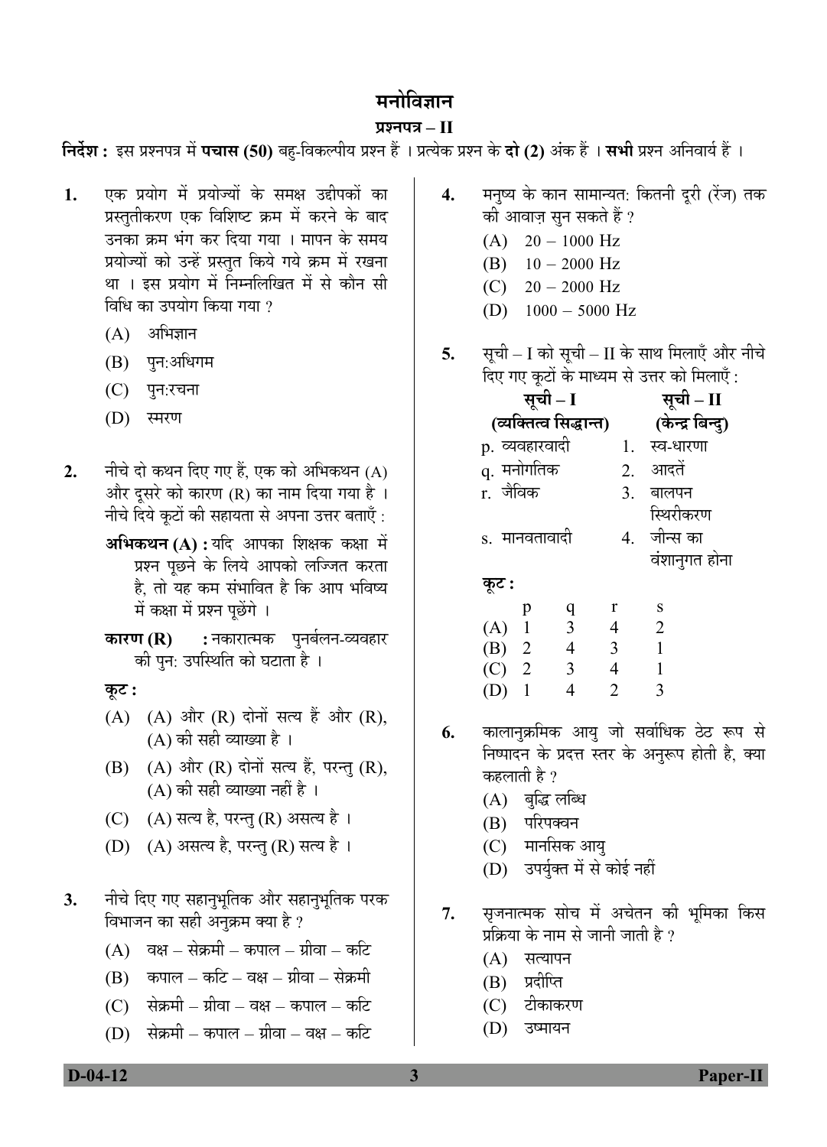# मनोविज्ञान

# **¯ÖÏ¿®Ö¯Ö¡Ö – II**

**निर्देश :** इस प्रश्नपत्र में **पचास (50)** बह-विकल्पीय प्रश्न हैं । प्रत्येक प्रश्न के **दो (2)** अंक हैं । सभी प्रश्न अनिवार्य हैं ।

- 1. एक प्रयोग में प्रयोज्यों के समक्ष उद्दीपकों का प्रस्तुतीकरण एक विशिष्ट क्रम में करने के बाद उनका क्रम भंग कर दिया गया । मापन के समय प्रयोज्यों को उन्हें प्रस्तुत किये गये क्रम में रखना था । इस प्रयोग में निम्नलिखित में से कौन सी विधि का उपयोग किया गया ?
	- $(A)$  अभिज्ञान
	- $(B)$  पुन:अधिगम
	- (C) पुन:रचना
	- $(D)$  स्मरण
- 2. नीचे दो कथन दिए गए हैं. एक को अभिकथन (A) और दूसरे को कारण (R) का नाम दिया गया है। नीचे दिये कुटों की सहायता से अपना उत्तर बताएँ :
	- **अभिकथन (A) :** यदि आपका शिक्षक कक्षा में प्रश्न पूछने के लिये आपको लज्जित करता है, तो यह कम संभावित है कि आप भविष्य में कक्षा में प्रश्न पूछेंगे ।
	- **कारण (R) :** नकारात्मक पुनर्बलन-व्यवहार की पुन: उपस्थिति को घटाता है ।
	- **Ûæú™ü :**
	- $(A)$   $(A)$  और  $(R)$  दोनों सत्य हैं और  $(R)$ ,  $(A)$  की सही व्याख्या है ।
	- (B) (A) और (R) दोनों सत्य हैं, परन्तु (R),  $(A)$  की सही व्याख्या नहीं है ।
	- (C) (A) सत्य है, परन्तु (R) असत्य है।
	- (D) (A) असत्य है, परन्तु (R) सत्य है।
- 3. नीचे दिए गए सहानुभूतिक और सहानुभूतिक परक विभाजन का सही अनुक्रम क्या है ?
	- $(A)$  वक्ष सेक्रमी कपाल ग्रीवा कटि
	- $(B)$  कपाल कटि वक्ष ग्रीवा सेक्रमी
	- (C) सेक्रमी ग्रीवा वक्ष कपाल कटि
	- $(D)$  सेक्रमी कपाल ग्रीवा वक्ष कटि
- 4. मनुष्य के कान सामान्यत: कितनी दूरी (रेंज) तक की आवाज़ सुन सकते हैं ?
	- $(A)$  20 1000 Hz
	- (B)  $10 2000$  Hz
	- $(C)$  20 2000 Hz
	- (D)  $1000 5000$  Hz
- **5.** सूची I को सूची II के साथ मिलाएँ और नीचे  $\overline{6}$ ए गए कटों के माध्यम से उत्तर को मिलाएँ  $\cdot$

|                        | सूची – I                |                | सूची – II        |
|------------------------|-------------------------|----------------|------------------|
| (व्यक्तित्व सिद्धान्त) |                         |                | (केन्द्र बिन्दु) |
| p. व्यवहारवादी         |                         |                | 1. स्व-धारणा     |
| q. मनोगतिक             |                         | 2.             | आदतें            |
| r. जैविक               |                         | 3.             | बालपन            |
|                        |                         |                | स्थिरीकरण        |
| s. मानवतावादी          |                         |                | 4. जीन्स का      |
|                        |                         |                | वंशानुगत होना    |
| कूट :                  |                         |                |                  |
| p                      | q                       | r              | S                |
| $(A)$ 1                | $\overline{\mathbf{3}}$ | $\overline{4}$ | 2                |
| (B) 2                  | $\overline{4}$          | 3              | 1                |
| $(C)$ 2                | $\overline{3}$          | $\overline{4}$ | 1                |
| (D)                    | $\overline{4}$          | $\overline{2}$ | 3                |

- 6. कालानक्रमिक आयु जो सर्वाधिक ठेठ रूप से निष्पादन के प्रदत्त स्तर के अनुरूप होती है, क्या कहलाती है ?
	- $(A)$  बद्धिलब्धि
	- (B) परिपक्वन
	- (C) मानसिक आयु
	- (D) उपर्युक्त में से कोई नहीं
- 7. सृजनात्मक सोच में अचेतन की भूमिका किस प्रक्रिया के नाम से जानी जाती है ?
	- $(A)$  सत्यापन
	- $(B)$  प्रदीप्ति
	- (C) टीकाकरण
	- (D) उष्मायन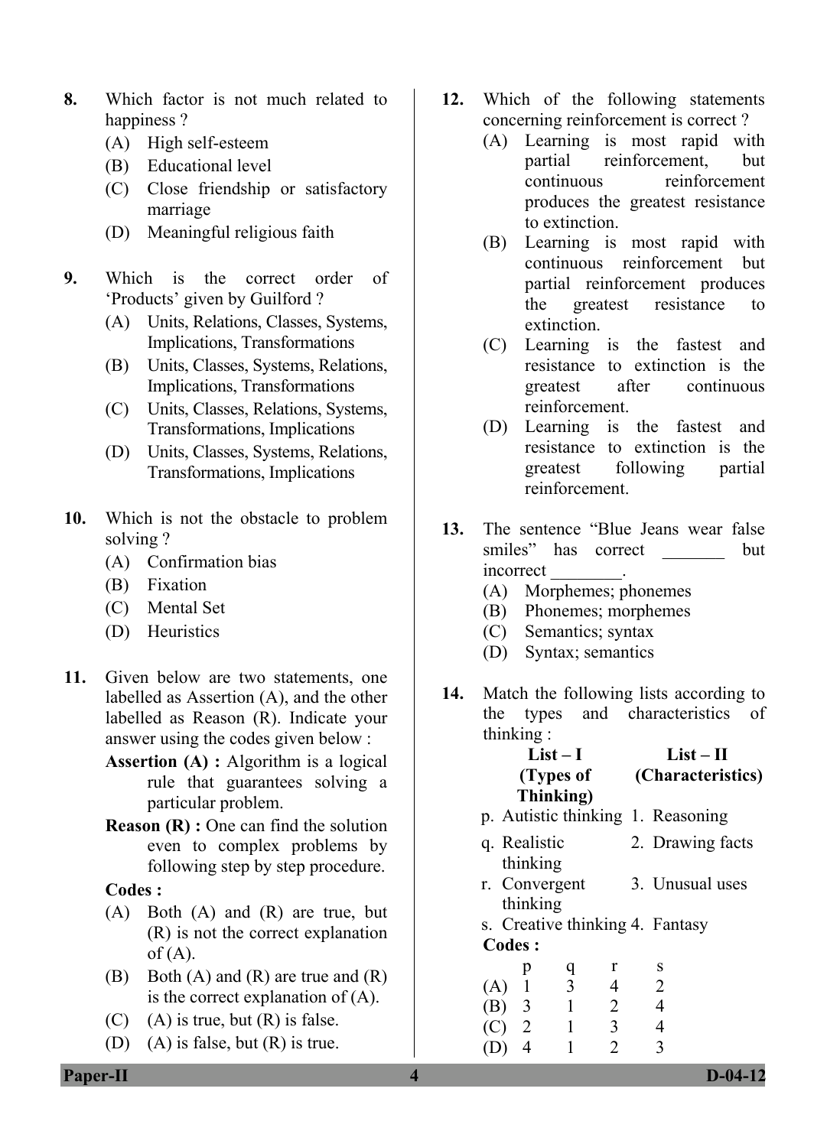- **8.** Which factor is not much related to happiness?
	- (A) High self-esteem
	- (B) Educational level
	- (C) Close friendship or satisfactory marriage
	- (D) Meaningful religious faith
- **9.** Which is the correct order of 'Products' given by Guilford ?
	- (A) Units, Relations, Classes, Systems, Implications, Transformations
	- (B) Units, Classes, Systems, Relations, Implications, Transformations
	- (C) Units, Classes, Relations, Systems, Transformations, Implications
	- (D) Units, Classes, Systems, Relations, Transformations, Implications
- **10.** Which is not the obstacle to problem solving ?
	- (A) Confirmation bias
	- (B) Fixation
	- (C) Mental Set
	- (D) Heuristics
- **11.** Given below are two statements, one labelled as Assertion (A), and the other labelled as Reason (R). Indicate your answer using the codes given below :
	- **Assertion (A) :** Algorithm is a logical rule that guarantees solving a particular problem.
	- **Reason (R) :** One can find the solution even to complex problems by following step by step procedure.

- (A) Both (A) and (R) are true, but (R) is not the correct explanation  $of (A)$ .
- (B) Both (A) and (R) are true and (R) is the correct explanation of (A).
- $(C)$  (A) is true, but  $(R)$  is false.
- (D) (A) is false, but  $(R)$  is true.
- **12.** Which of the following statements concerning reinforcement is correct ?
	- (A) Learning is most rapid with partial reinforcement, but continuous reinforcement produces the greatest resistance to extinction.
	- (B) Learning is most rapid with continuous reinforcement but partial reinforcement produces the greatest resistance to extinction.
	- (C) Learning is the fastest and resistance to extinction is the greatest after continuous reinforcement.
	- (D) Learning is the fastest and resistance to extinction is the greatest following partial reinforcement.
- **13.** The sentence "Blue Jeans wear false smiles" has correct but incorrect \_\_\_\_\_\_\_\_.
	- (A) Morphemes; phonemes
	- (B) Phonemes; morphemes
	- (C) Semantics; syntax
	- (D) Syntax; semantics
- **14.** Match the following lists according to the types and characteristics of thinking :

#### **List – I (Types of Thinking) List – II (Characteristics)**

- p. Autistic thinking 1. Reasoning
- q. Realistic thinking 2. Drawing facts
- r. Convergent thinking 3. Unusual uses
- s. Creative thinking 4. Fantasy **Codes :**

|         | p | a | r                           | S |
|---------|---|---|-----------------------------|---|
| (A)     |   | 3 | 4                           | 2 |
| $(B)$ 3 |   |   | 2                           | 4 |
| $(C)$ 2 |   |   | 3                           | 4 |
| (D)     | 4 |   | $\mathcal{D}_{\mathcal{L}}$ | 3 |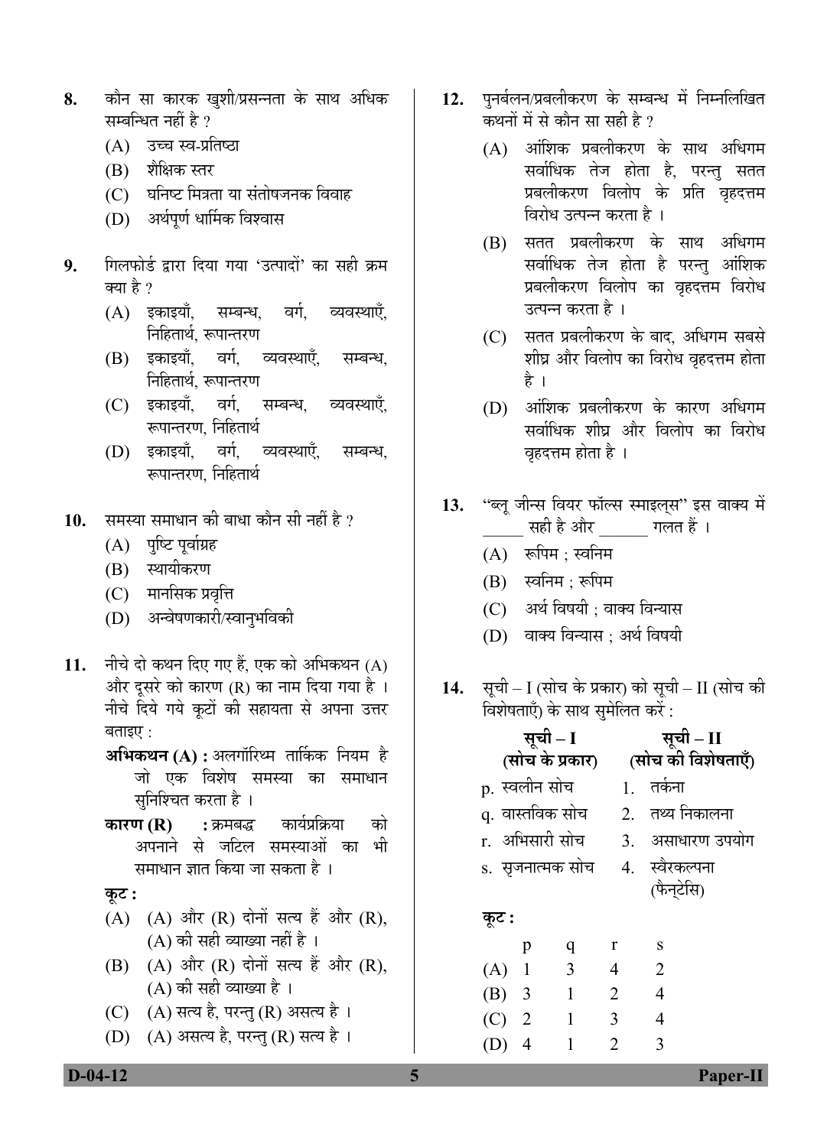- 8. कौन सा कारक खुशी/प्रसन्नता के साथ अधिक सम्बन्धित नहीं है ?
	- (A) उच्च स्व-प्रतिष्ठा
	- (B) शैक्षिक स्तर
	- (C) घनिष्ट मित्रता या संतोषजनक विवाह
	- (D) अर्थपूर्ण धार्मिक विश्वास
- 9. गिलफोर्ड द्वारा दिया गया 'उत्पादों' का सही क्रम क्या है ?
	- (A) इकाइयाँ, सम्बन्ध, वर्ग, व्यवस्थाएँ, <u>नि</u>हितार्थ. रूपान्तरण
	- (B) इकाइयाँ, वर्ग, व्यवस्थाएँ, सम्बन्ध, <u>नि</u>हितार्थ. रूपान्तरण
	- (C) इकाइयाँ, वर्ग, सम्बन्ध, व्यवस्थाएँ, रूपान्तरण. निहितार्थ
	- (D) इकाइयाँ, वर्ग, व्यवस्थाएँ, सम्बन्ध, रूपान्तरण, निहितार्थ
- 10. समस्या समाधान की बाधा कौन सी नहीं है ?
	- (A) पश्टि पूर्वाग्रह
	- (B) स्थायीकरण
	- (C) मानसिक प्रवृत्ति
	- (D) अन्वेषणकारी/स्वान्*भविकी*
- 11. नीचे दो कथन दिए गए हैं, एक को अभिकथन (A) और दूसरे को कारण (R) का नाम दिया गया है । नीचे दिये गये कूटों की सहायता से अपना उत्तर बताइए $\,$  :
	- **अभिकथन (A) :** अलगॉरिथ्म तार्किक नियम है जो एक विशेष समस्या का समाधान सुनिश्चित करता है ।
	- **कारण (R) :** क्रमबद्ध कार्यप्रक्रिया को अपनाने से जटिल समस्याओं का भी समाधान ज्ञात किया जा सकता है ।

# **Ûæú™ü :**

- (A) (A) और  $(R)$  दोनों सत्य हैं और  $(R)$ ,  $(A)$  की सही व्याख्या नहीं है ।
- $(B)$   $(A)$  और  $(R)$  दोनों सत्य हैं और  $(R)$ , (A) की सही व्याख्या है ।
- (C)  $(A)$  सत्य है, परन्तु (R) असत्य है।
- (D) (A) असत्य है, परन्तु (R) सत्य है।
- 12. पुनर्बलन/प्रबलीकरण के सम्बन्ध में निम्नलिखित कथनों में से कौन सा सही है ?
	- $(A)$  आंशिक प्रबलीकरण के साथ अधिगम सर्वाधिक तेज होता है, परन्तु सतत प्रबलीकरण विलोप के प्रति वृहदत्तम विरोध उत्पन्न करता है ।
	- (B) सतत प्रबलीकरण के साथ अधिगम सर्वाधिक तेज होता है परन्तु आंशिक प्रबलीकरण विलोप का वृहदत्तम विरोध उत्पन्न करता है ।
	- $(C)$  सतत प्रबलीकरण के बाद, अधिगम सबसे शीघ्र और विलोप का विरोध वृहदत्तम होता है ।
	- $(D)$  अांशिक प्रबलीकरण के कारण अधिगम सर्वाधिक शीघ्र और विलोप का विरोध वृहदत्तम होता है ।
- 13. "ब्लू जीन्स वियर फॉल्स स्माइल्*स*" इस वाक्य में सही है और <sup>गलत हैं</sup>।
	- $(A)$  रूपिम : स्वनिम
	- $(B)$  स्वनिम : रूपिम
	- (C) अर्थ विषयी ; वाक्य विन्यास
	- (D) वाक्य विन्यास : अर्थ विषयी
- 14. सूची I (सोच के प्रकार) को सूची II (सोच की <u>विशेषताएँ) के साथ समेलित करें :</u>

|         | सूची – I          |                 |   |                | सूची – II                    |
|---------|-------------------|-----------------|---|----------------|------------------------------|
|         |                   | (सोच के प्रकार) |   |                | (सोच की विशेषताएँ)           |
|         |                   | p. स्वलीन सोच   |   |                | 1 तर्कना                     |
|         |                   | q. वास्तविक सोच |   |                | 2. तथ्य निकालना              |
|         |                   | r. अभिसारी सोच  |   |                | 3. असाधारण उपयोग             |
|         | s.  सृजनात्मक सोच |                 |   |                | 4. स्वैरकल्पना<br>(फैन्टेसि) |
| कूट :   |                   |                 |   |                |                              |
|         |                   | p               | q | r              | S                            |
| $(A)$ 1 |                   |                 | 3 | $\overline{4}$ | $\overline{2}$               |
| $(B)$ 3 |                   |                 | 1 | $\overline{2}$ | $\overline{4}$               |
| (C)     |                   | $\overline{2}$  | 1 | 3              | 4                            |
|         |                   | 4               | 1 | 2              | 3                            |
|         |                   |                 |   |                |                              |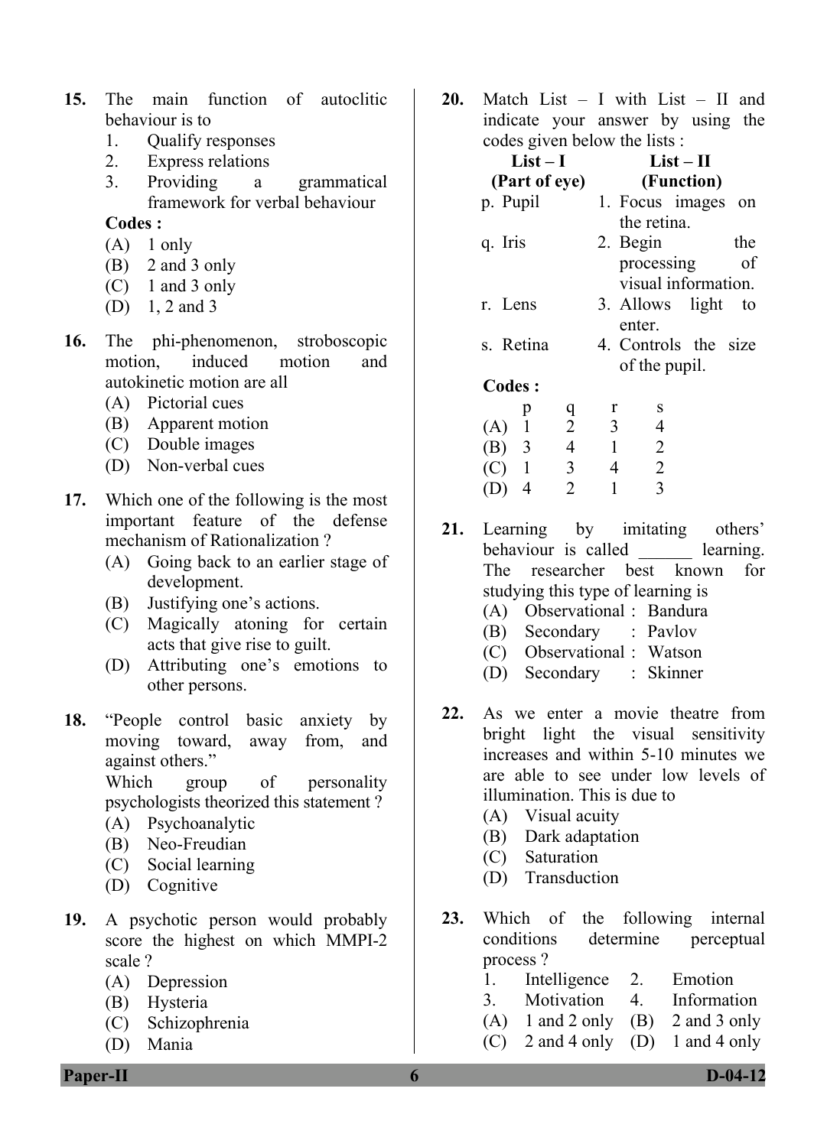- **15.** The main function of autoclitic behaviour is to
	- 1. Qualify responses
	- 2. Express relations
	- 3. Providing a grammatical framework for verbal behaviour

- $(A)$  1 only
- (B) 2 and 3 only
- (C) 1 and 3 only
- (D) 1, 2 and 3
- **16.** The phi-phenomenon, stroboscopic motion induced motion and autokinetic motion are all
	- (A) Pictorial cues
	- (B) Apparent motion
	- (C) Double images
	- (D) Non-verbal cues
- **17.** Which one of the following is the most important feature of the defense mechanism of Rationalization ?
	- (A) Going back to an earlier stage of development.
	- (B) Justifying one's actions.
	- (C) Magically atoning for certain acts that give rise to guilt.
	- (D) Attributing one's emotions to other persons.
- **18.** "People control basic anxiety by moving toward, away from, and against others." Which group of personality

psychologists theorized this statement ?

- (A) Psychoanalytic
- (B) Neo-Freudian
- (C) Social learning
- (D) Cognitive
- **19.** A psychotic person would probably score the highest on which MMPI-2 scale ?
	- (A) Depression
	- (B) Hysteria
	- (C) Schizophrenia
	- (D) Mania

**20.** Match List – I with List – II and indicate your answer by using the codes given below the lists :

| $List-I$      | $List-H$              |
|---------------|-----------------------|
| (Part of eye) | (Function)            |
| p. Pupil      | 1. Focus images<br>on |
|               | the retina.           |
| q. Iris       | 2. Begin<br>the       |
|               | processing<br>οf      |
|               | visual information.   |
| r. Lens       | 3. Allows light<br>to |
|               | enter.                |
| s. Retina     | 4. Controls the size  |
|               | of the pupil.         |
| Codes:        |                       |
|               | S                     |

| ∼              |         |   | ້              |
|----------------|---------|---|----------------|
|                | 2       | 3 | 4              |
| $(B)$ 3        | 4       |   | 2              |
|                | 3       | 4 | $\overline{2}$ |
| $\overline{4}$ | 2       |   | 3              |
|                | $(C)$ 1 | ч |                |

**21.** Learning by imitating others' behaviour is called learning. The researcher best known for studying this type of learning is

- (A) Observational : Bandura
- (B) Secondary : Pavlov
- (C) Observational : Watson
- (D) Secondary : Skinner
- **22.** As we enter a movie theatre from bright light the visual sensitivity increases and within 5-10 minutes we are able to see under low levels of illumination. This is due to
	- (A) Visual acuity
	- (B) Dark adaptation
	- (C) Saturation
	- (D) Transduction
- **23.** Which of the following internal conditions determine perceptual process ?
	- 1. Intelligence 2. Emotion
	- 3. Motivation 4. Information
	- $(A)$  1 and 2 only  $(B)$  2 and 3 only
	- (C) 2 and 4 only (D) 1 and 4 only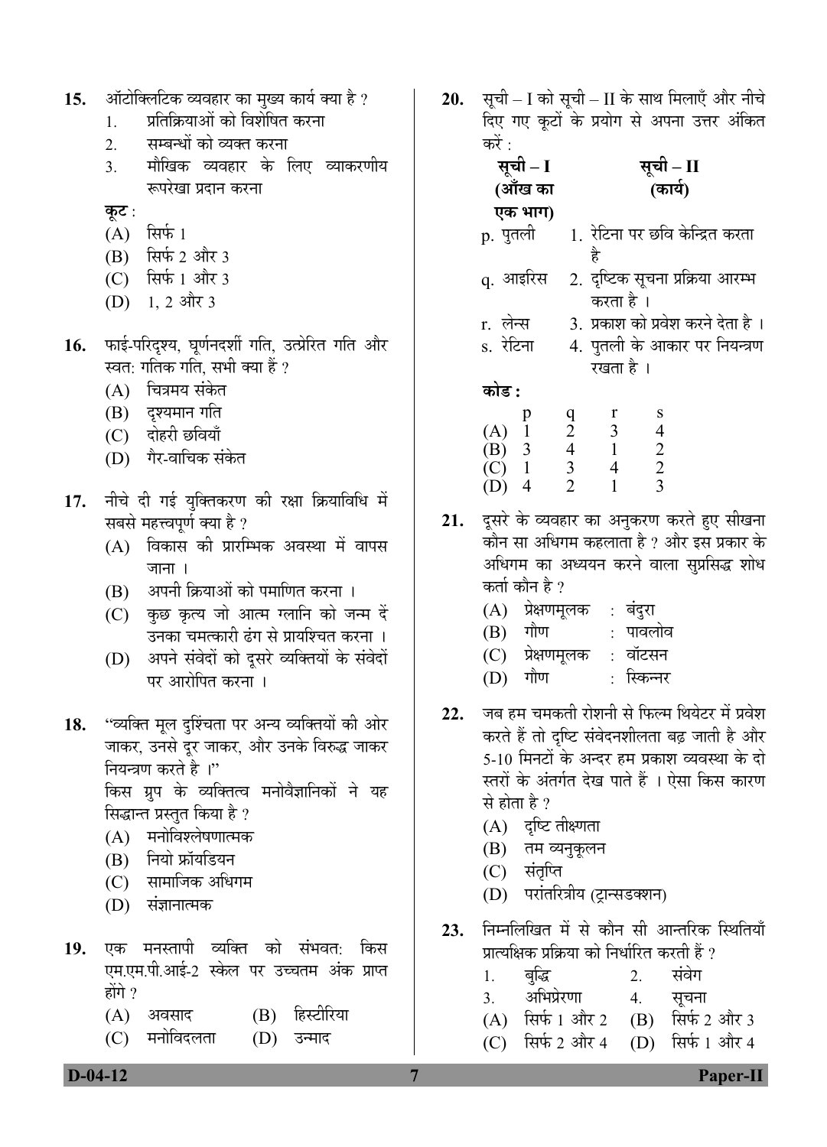|     | ऑटोक्लिटिक व्यवहार का मुख्य कार्य क्या है ? |
|-----|---------------------------------------------|
| 15. |                                             |
|     |                                             |
|     |                                             |

- 1. प्रतिक्रियाओं को विशेषित करना
- 2. सम्बन्धों को व्यक्त करना
- 3. मौखिक व्यवहार के लिए व्याकरणीय रूपरेखा प्रदान करना
- <u>क</u>ृट :
- $(A)$  सिर्फ 1
- $(B)$  सिर्फ 2 और 3
- $(C)$  सिर्फ 1 और 3
- $(D)$  1, 2 और 3
- 16. फाई-परिदृश्य, घूर्णनदर्शी गति, उत्प्रेरित गति और स्वत: गतिक गति, सभी क्या हैं ?
	- (A) चित्रमय संकेत
	- $(B)$  दृश्यमान गति
	- (C) दोहरी छवियाँ
	- (D) गैर-वाचिक संकेत
- 17. नीचे दी गई युक्तिकरण की रक्षा क्रियाविधि में सबसे महत्त्वपूर्ण क्या है ?
	- (A) विकास की प्रारम्भिक अवस्था में वापस जाना ।
	- $(B)$  अपनी क्रियाओं को पमाणित करना ।
	- (C) कुछ कृत्य जो आत्म ग्लानि को जन्म दें उनका चमत्कारी ढंग से प्रायश्चित करना ।
	- (D) अपने संवेदों को दुसरे व्यक्तियों के संवेदों पर आरोपित करना ।
- 18. "व्यक्ति मूल दृश्चिंता पर अन्य व्यक्तियों की ओर जाकर, उनसे दुर जाकर, और उनके विरुद्ध जाकर नियन्त्रण करते है<sup>ा</sup>"

किस ग्रुप के व्यक्तित्व मनोवैज्ञानिकों ने यह सिद्धान्त प्रस्तुत किया है ?

- (A) मनोविश्लेषणात्मक
- (B) नियो फ्रॉयडियन
- (C) सामाजिक अधिगम
- $(D)$  संज्ञानात्मक
- <u>19. एक मनस्तापी व्यक्ति को संभवत:</u> किस एम.एम.पी.आई-2 स्केल पर उच्चतम अंक प्राप्त होंगे $\gamma$ 
	- (A) अवसाद (B) हिस्टीरिया
	- (C) मनोविदलता (D) उन्माद

20. सूची – I को सूची – II के साथ मिलाएँ और नीचे दिए गए कूटों के प्रयोग से अपना उत्तर अंकित करें :

| सूची – I                                                         | सूची – II                                                                                                                        |
|------------------------------------------------------------------|----------------------------------------------------------------------------------------------------------------------------------|
| (ऑंख का                                                          | (कार्य)                                                                                                                          |
| एक भाग)                                                          |                                                                                                                                  |
| p. पुतली                                                         | 1. रेटिना पर छवि केन्द्रित करता<br>है                                                                                            |
| q. आइरिस                                                         | 2. दृष्टिक सूचना प्रक्रिया आरम्भ<br>करता है ।                                                                                    |
| r. लेन्स                                                         | 3. प्रकाश को प्रवेश करने देता है ।                                                                                               |
| s. रेटिना                                                        | 4. पुतली के आकार पर नियन्त्रण<br>रखता है ।                                                                                       |
| कोड :                                                            |                                                                                                                                  |
| $\begin{bmatrix} p \\ 1 \\ 3 \end{bmatrix}$<br>(A)<br>(B)<br>(C) | r<br>$\frac{8}{4}$<br>$\begin{array}{c} q \\ 2 \\ 4 \end{array}$<br>$\overline{3}$<br>$\overline{1}$<br>$\overline{2}$<br>3<br>4 |
| 4<br>(D)                                                         | 3<br>$\overline{2}$                                                                                                              |

- 21. दूसरे के व्यवहार का अनुकरण करते हुए सीखना कौन सा अधिगम कहलाता है ? और इस प्रकार के अधिगम का अध्ययन करने वाला सुप्रसिद्ध शोध कर्ता कौन है ?
	- (A) प्रेक्षणमूलक : बंदुरा

 $(D)$  4

- $(B)$  गौण : पावलोव
- (C) प्रेक्षणमृलक : वॉटसन
- (D) गौण : स्किन्नर
- 22. जब हम चमकती रोशनी से फिल्म थियेटर में प्रवेश करते हैं तो दृष्टि संवेदनशीलता बढ़ जाती है और 5-10 मिनटों के अन्दर हम प्रकाश व्यवस्था के दो स्तरों के अंतर्गत देख पाते हैं । ऐसा किस कारण से होता है ?
	- (A) दृष्टि तीक्ष्णता
	- (B) तम व्यनुकूलन
	- (C) संतृप्ति
	- (D) परांतरित्रीय (ट्रान्सडक्शन)
- 23. निम्नलिखित में से कौन सी आन्तरिक स्थितियाँ प्रात्यक्षिक प्रक्रिया को निर्धारित करती हैं ?
- 1. ²Öãרü 2. ÃÖÓ¾ÖêÝÖ
	- 3. अभिप्रेरणा 4. सूचना<br>(A) सिर्फ 1 और 2 (B) सिर्फ 2
	- $(B)$  सिर्फ 2 और 3
	- (C) सिर्फ 2 और 4 (D) सिर्फ 1 और 4

 **D-04-12 7 Paper-II**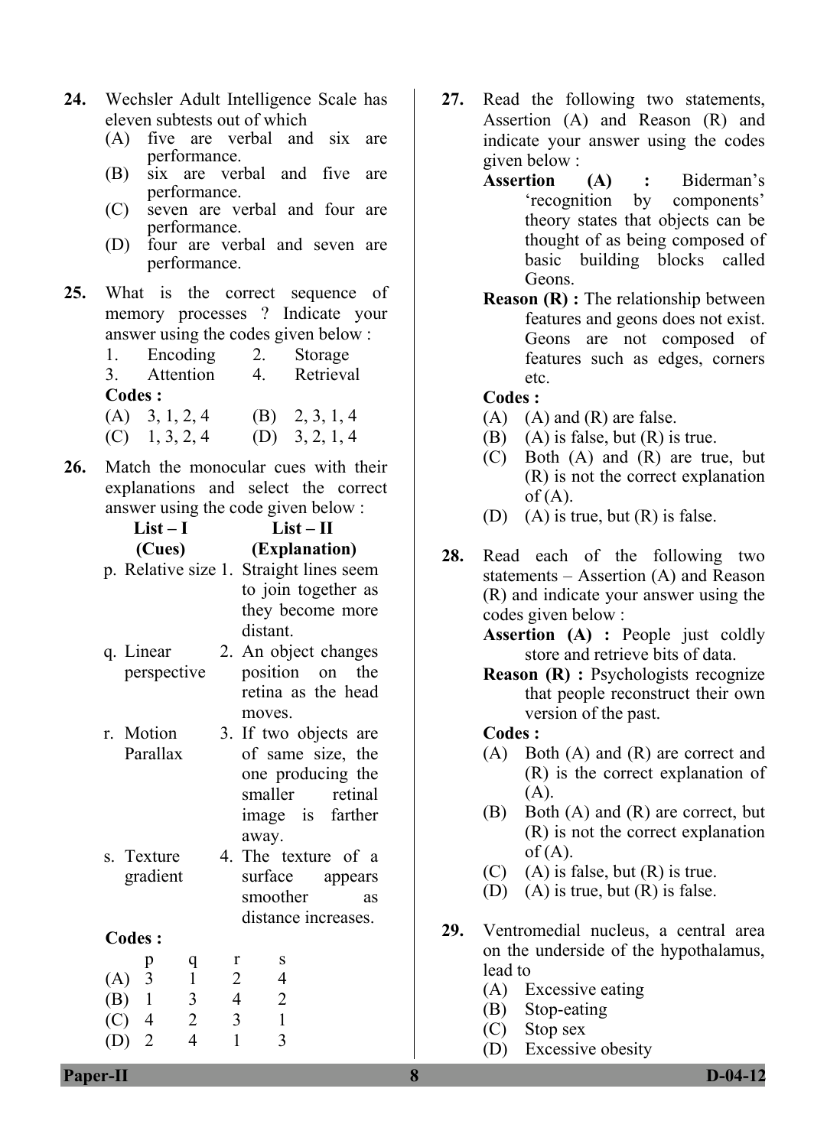- **24.** Wechsler Adult Intelligence Scale has eleven subtests out of which
	- (A) five are verbal and six are performance.
	- (B) six are verbal and five are performance.
	- (C) seven are verbal and four are performance.
	- (D) four are verbal and seven are performance.
- **25.** What is the correct sequence of memory processes ? Indicate your answer using the codes given below :
	- 1. Encoding 2. Storage 3 Attention 4 Retrieval **Codes :**   $(A)$  3, 1, 2, 4 (B) 2, 3, 1, 4
	- $(C)$  1, 3, 2, 4 (D) 3, 2, 1, 4
- **26.** Match the monocular cues with their explanations and select the correct answer using the code given below :

| $List-I$                           |                | $List-II$                               |
|------------------------------------|----------------|-----------------------------------------|
| (Cues)                             |                | (Explanation)                           |
|                                    |                | p. Relative size 1. Straight lines seem |
|                                    |                | to join together as                     |
|                                    |                | they become more                        |
|                                    |                | distant.                                |
| q. Linear                          |                | 2. An object changes                    |
| perspective                        |                | position on<br>the                      |
|                                    |                | retina as the head                      |
|                                    |                | moves.                                  |
| r. Motion                          |                | 3. If two objects are                   |
| Parallax                           |                | of same size, the                       |
|                                    |                | one producing the                       |
|                                    |                | smaller retinal                         |
|                                    |                | farther<br>image is                     |
|                                    |                | away.                                   |
| s. Texture                         |                | 4. The texture of a                     |
| gradient                           |                | surface appears                         |
|                                    |                | smoother<br>as                          |
|                                    |                | distance increases.                     |
| <b>Codes:</b>                      |                |                                         |
| q<br>p<br>$\mathbf 1$<br>$(A)$ 3   | r<br>2         | S<br>$\overline{4}$                     |
| $(B)$ 1<br>$\overline{\mathbf{3}}$ | $\overline{4}$ | $\overline{2}$                          |
| $\overline{c}$<br>$(C)$ 4          | 3              | $\mathbf{1}$                            |
| $\overline{4}$<br>$\overline{2}$   | $\mathbf{1}$   | 3                                       |
|                                    |                |                                         |

- **27.** Read the following two statements, Assertion (A) and Reason (R) and indicate your answer using the codes given below :
	- **Assertion (A) :** Biderman's 'recognition by components' theory states that objects can be thought of as being composed of basic building blocks called Geons.
	- **Reason (R) :** The relationship between features and geons does not exist. Geons are not composed of features such as edges, corners etc.

- $(A)$   $(A)$  and  $(R)$  are false.
- (B)  $(A)$  is false, but  $(R)$  is true.
- (C) Both (A) and (R) are true, but (R) is not the correct explanation  $of (A)$ .
- (D) (A) is true, but (R) is false.
- **28.** Read each of the following two statements – Assertion (A) and Reason (R) and indicate your answer using the codes given below :

**Assertion (A) :** People just coldly store and retrieve bits of data.

**Reason (R) :** Psychologists recognize that people reconstruct their own version of the past.

#### **Codes :**

- (A) Both (A) and (R) are correct and (R) is the correct explanation of (A).
- (B) Both (A) and (R) are correct, but (R) is not the correct explanation  $of (A)$ .
- $(C)$  (A) is false, but  $(R)$  is true.
- (D) (A) is true, but (R) is false.
- **29.** Ventromedial nucleus, a central area on the underside of the hypothalamus, lead to
	- (A) Excessive eating
	- (B) Stop-eating
	- (C) Stop sex
	- (D) Excessive obesity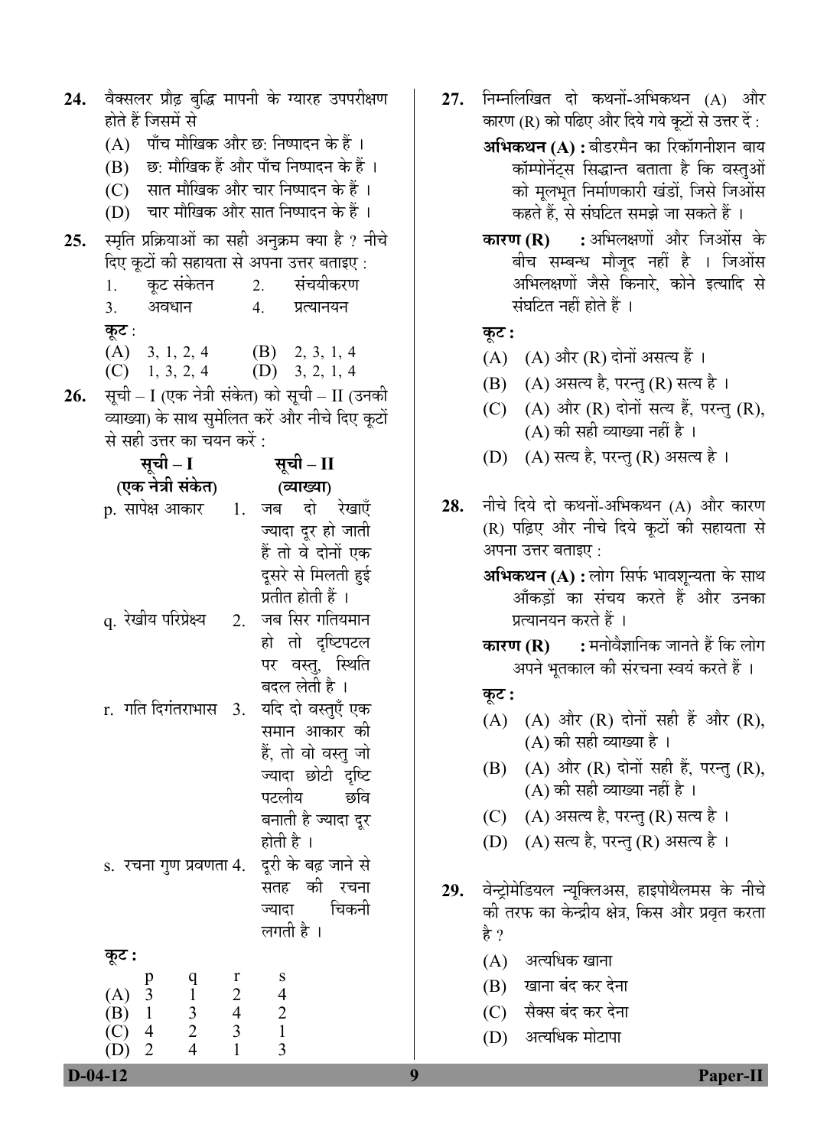| 24. | वैक्सलर प्रौढ़ बुद्धि मापनी के ग्यारह उपपरीक्षण                                                                             |                         |                                                  |  |  |  |  |
|-----|-----------------------------------------------------------------------------------------------------------------------------|-------------------------|--------------------------------------------------|--|--|--|--|
|     | होते हैं जिसमें से                                                                                                          |                         |                                                  |  |  |  |  |
|     | (A) पाँच मौखिक और छ: निष्पादन के हैं ।                                                                                      |                         |                                                  |  |  |  |  |
|     | (B) छ: मौखिक हैं और पाँच निष्पादन के हैं ।<br>(C) सात मौखिक और चार निष्पादन के हैं ।                                        |                         |                                                  |  |  |  |  |
|     |                                                                                                                             |                         |                                                  |  |  |  |  |
|     | (D) चार मौखिक और सात निष्पादन के हैं ।                                                                                      |                         |                                                  |  |  |  |  |
| 25. |                                                                                                                             |                         | स्मृति प्रक्रियाओं का सही अनुक्रम क्या है ? नीचे |  |  |  |  |
|     | दिए कूटों की सहायता से अपना उत्तर बताइए :                                                                                   |                         |                                                  |  |  |  |  |
|     | 1. कूट संकेतन 2.                                                                                                            |                         | संचयीकरण                                         |  |  |  |  |
|     | अवधान<br>3.                                                                                                                 | 4.                      | प्रत्यानयन                                       |  |  |  |  |
|     | कूट :                                                                                                                       |                         |                                                  |  |  |  |  |
|     | $(A)$ 3, 1, 2, 4<br>$(C)$ 1, 3, 2, 4 $(D)$ 3, 2, 1, 4                                                                       |                         | $(B)$ 2, 3, 1, 4                                 |  |  |  |  |
| 26. |                                                                                                                             |                         | सूची - I (एक नेत्री संकेत) को सूची - II (उनकी    |  |  |  |  |
|     |                                                                                                                             |                         | व्याख्या) के साथ सुमेलित करें और नीचे दिए कूटों  |  |  |  |  |
|     | से सही उत्तर का चयन करें :                                                                                                  |                         |                                                  |  |  |  |  |
|     | सूची – I                                                                                                                    |                         | सूची – II                                        |  |  |  |  |
|     | (एक नेत्री संकेत)                                                                                                           |                         | (व्याख्या)                                       |  |  |  |  |
|     | p. सापेक्ष आकार      1.                                                                                                     |                         | जब दो रेखाएँ                                     |  |  |  |  |
|     |                                                                                                                             |                         | ज्यादा दूर हो जाती                               |  |  |  |  |
|     |                                                                                                                             |                         | हैं तो वे दोनों एक                               |  |  |  |  |
|     |                                                                                                                             |                         | दूसरे से मिलती हुई                               |  |  |  |  |
|     |                                                                                                                             |                         | प्रतीत होती हैं ।                                |  |  |  |  |
|     | q. रेखीय परिप्रेक्ष्य                                                                                                       | 2.                      | जब सिर गतियमान                                   |  |  |  |  |
|     |                                                                                                                             |                         | हो तो दृष्टिपटल                                  |  |  |  |  |
|     |                                                                                                                             |                         | पर वस्तु, स्थिति                                 |  |  |  |  |
|     |                                                                                                                             |                         | बदल लेती है ।                                    |  |  |  |  |
|     | r.  गति दिगंतराभास   3.                                                                                                     |                         | यदि दो वस्तुएँ एक                                |  |  |  |  |
|     |                                                                                                                             |                         | समान आकार की                                     |  |  |  |  |
|     |                                                                                                                             |                         | हैं, तो वो वस्तु जो                              |  |  |  |  |
|     |                                                                                                                             |                         | ज्यादा छोटी दृष्टि                               |  |  |  |  |
|     |                                                                                                                             |                         | पटलीय<br>छवि                                     |  |  |  |  |
|     |                                                                                                                             |                         | बनाती है ज्यादा दूर                              |  |  |  |  |
|     |                                                                                                                             |                         | होती है ।                                        |  |  |  |  |
|     | s.  रचना गुण प्रवणता 4.                                                                                                     |                         | दूरी के बढ़ जाने से                              |  |  |  |  |
|     |                                                                                                                             |                         | सतह की रचना                                      |  |  |  |  |
|     |                                                                                                                             |                         | ज्यादा चिकनी                                     |  |  |  |  |
|     |                                                                                                                             |                         | लगती है ।                                        |  |  |  |  |
|     | कूट :                                                                                                                       |                         |                                                  |  |  |  |  |
|     | q                                                                                                                           | r                       | S<br>$\overline{\mathcal{L}}$                    |  |  |  |  |
|     |                                                                                                                             | $\frac{2}{4}$           | $\frac{2}{1}$                                    |  |  |  |  |
|     | (A) $\begin{array}{c} p \\ 3 \\ (B) \\ (C) \\ 4 \\ (D) \\ 2 \end{array}$<br>$\begin{array}{c} 1 \\ 3 \\ 2 \\ 4 \end{array}$ | $\overline{\mathbf{3}}$ |                                                  |  |  |  |  |
|     |                                                                                                                             | $\mathbf{1}$            | 3                                                |  |  |  |  |

- **27.** निम्नलिखित दो कथनों-अभिकथन (A) और कारण (R) को पढिए और दिये गये कूटों से उत्तर दें :
	- **अभिकथन (A) :** बीडरमैन का रिकॉगनीशन बाय <u>कॉम्पोनेंट्स सिद्धान्त बताता है कि वस्तुओं</u> को मूलभूत निर्माणकारी खंडों, जिसे जिओंस कहते हैं, से संघटित समझे जा सकते हैं ।
	- **कारण (R) :** अभिलक्षणों और जिओंस के बीच सम्बन्ध मौजूद नहीं है । जिओंस अभिलक्षणों जैसे किनारे, कोने इत्यादि से संघटित नहीं होते हैं ।

## $\Phi$ **:**

- $(A)$   $(A)$  और  $(R)$  दोनों असत्य हैं।
- (B) (A) असत्य है, परन्तु (R) सत्य है।
- (C) (A) और (R) दोनों सत्य हैं, परन्तु (R),  $(A)$  की सही व्याख्या नहीं है ।
- (D) (A) सत्य है, परन्तु (R) असत्य है।
- 28. नीचे दिये दो कथनों-अभिकथन (A) और कारण (R) पढ़िए और नीचे दिये कृटों की सहायता से अपना उत्तर बताइए:
	- **अभिकथन (A) :** लोग सिर्फ भावशुन्यता के साथ आँकडों का संचय करते हैं और उनका प्रत्यानयन करते हैं ।
	- **कारण (R) :** मनोवैज्ञानिक जानते हैं कि लोग अपने भूतकाल की संरचना स्वयं करते हैं ।

## **Ûæú™ü :**

- (A) (A) और (R) दोनों सही हैं और (R),  $(A)$  की सही व्याख्या है ।
- $(B)$   $(A)$  और  $(R)$  दोनों सही हैं, परन्तु  $(R)$ ,  $(A)$  की सही व्याख्या नहीं है ।
- (C) (A) असत्य है, परन्तु (R) सत्य है।
- (D) (A) सत्य है, परन्तु (R) असत्य है।
- 29. वेन्ट्रोमेडियल न्यूक्लिअस, हाइपोथैलमस के नीचे की तरफ का केन्द्रीय क्षेत्र, किस और प्रवृत करता है ?
	- $(A)$  अत्यधिक खाना
	- (B) खाना बंद कर देना
	- (C) सैक्स बंद कर देना
	- (D) अत्यधिक मोटापा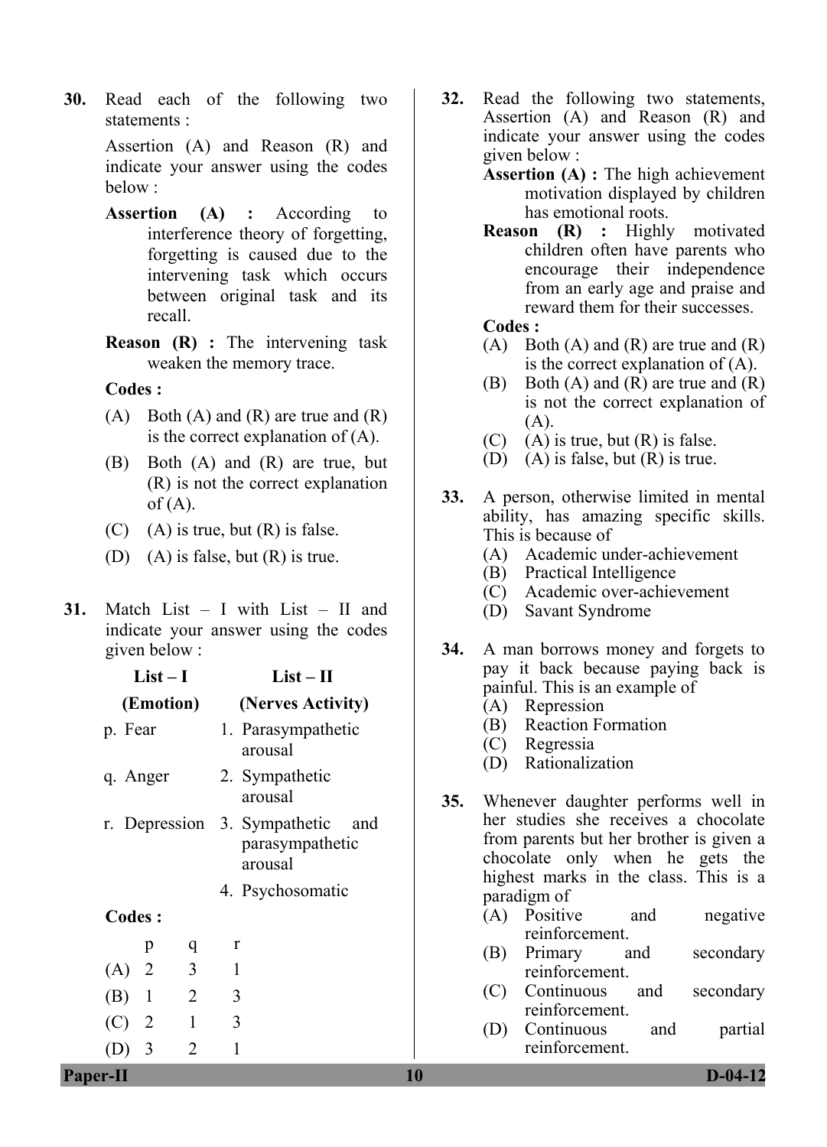**30.** Read each of the following two statements :

> Assertion (A) and Reason (R) and indicate your answer using the codes below :

- **Assertion (A) :** According to interference theory of forgetting, forgetting is caused due to the intervening task which occurs between original task and its recall.
- **Reason (R) :** The intervening task weaken the memory trace.

## **Codes :**

- $(A)$  Both  $(A)$  and  $(R)$  are true and  $(R)$ is the correct explanation of (A).
- (B) Both (A) and (R) are true, but (R) is not the correct explanation  $of (A)$ .
- $(C)$  (A) is true, but  $(R)$  is false.
- (D) (A) is false, but  $(R)$  is true.
- **31.** Match List I with List II and indicate your answer using the codes given below :

| $List-I$                                | $List - II$                                                                           |     | pay it back because paying back is<br>painful. This is an example of                                                                                                       |  |  |
|-----------------------------------------|---------------------------------------------------------------------------------------|-----|----------------------------------------------------------------------------------------------------------------------------------------------------------------------------|--|--|
| (Emotion)                               | (Nerves Activity)                                                                     |     | (A)<br>Repression                                                                                                                                                          |  |  |
| p. Fear                                 | 1. Parasympathetic<br>arousal                                                         |     | <b>Reaction Formation</b><br>(B)<br>(C)<br>Regressia                                                                                                                       |  |  |
| q. Anger                                | 2. Sympathetic<br>arousal                                                             | 35. | Rationalization<br>(D)<br>Whenever daughter performs well in                                                                                                               |  |  |
|                                         | r. Depression 3. Sympathetic<br>and<br>parasympathetic<br>arousal<br>4. Psychosomatic |     | her studies she receives a chocolate<br>from parents but her brother is given a<br>chocolate only when he gets the<br>highest marks in the class. This is a<br>paradigm of |  |  |
| Codes :                                 |                                                                                       |     | negative<br>(A)<br>Positive<br>and<br>reinforcement.                                                                                                                       |  |  |
| p<br>q                                  | $\mathbf r$                                                                           |     | Primary<br>secondary<br>(B)<br>and                                                                                                                                         |  |  |
| 3<br>2<br>(A)                           | $\mathbf{1}$                                                                          |     | reinforcement.                                                                                                                                                             |  |  |
| $\overline{2}$<br>(B)<br>$\overline{1}$ | 3                                                                                     |     | Continuous<br>secondary<br>(C)<br>and<br>reinforcement.                                                                                                                    |  |  |
| (C)<br>$\overline{2}$                   | 3                                                                                     |     | Continuous<br>partial<br>(D)<br>and                                                                                                                                        |  |  |
| $(D)$ 3<br>2                            | 1                                                                                     |     | reinforcement.                                                                                                                                                             |  |  |
| <b>Paper-II</b>                         |                                                                                       | 10  | $D-04-12$                                                                                                                                                                  |  |  |

- **32.** Read the following two statements, Assertion (A) and Reason (R) and indicate your answer using the codes given below :
	- **Assertion (A) :** The high achievement motivation displayed by children has emotional roots.
	- **Reason (R) :** Highly motivated children often have parents who encourage their independence from an early age and praise and reward them for their successes.

#### **Codes :**

- $(A)$  Both  $(A)$  and  $(R)$  are true and  $(R)$ is the correct explanation of (A).
- (B) Both (A) and (R) are true and (R) is not the correct explanation of (A).
- $(C)$  (A) is true, but  $(R)$  is false.
- (D) (A) is false, but  $(R)$  is true.
- **33.** A person, otherwise limited in mental ability, has amazing specific skills. This is because of
	- (A) Academic under-achievement
	- (B) Practical Intelligence
	- (C) Academic over-achievement
	- (D) Savant Syndrome
- **34.** A man borrows money and forgets to pay it back because paying back is painful. This is an example of
	- (A) Repression
	- (B) Reaction Formation
	- (C) Regressia
	- (D) Rationalization
- **35.** Whenever daughter performs well in her studies she receives a chocolate from parents but her brother is given a chocolate only when he gets the highest marks in the class. This is a paradigm of
	- (A) Positive and negative reinforcement.
	- (B) Primary and secondary reinforcement.
	- (C) Continuous and secondary reinforcement.
	- (D) Continuous and partial reinforcement.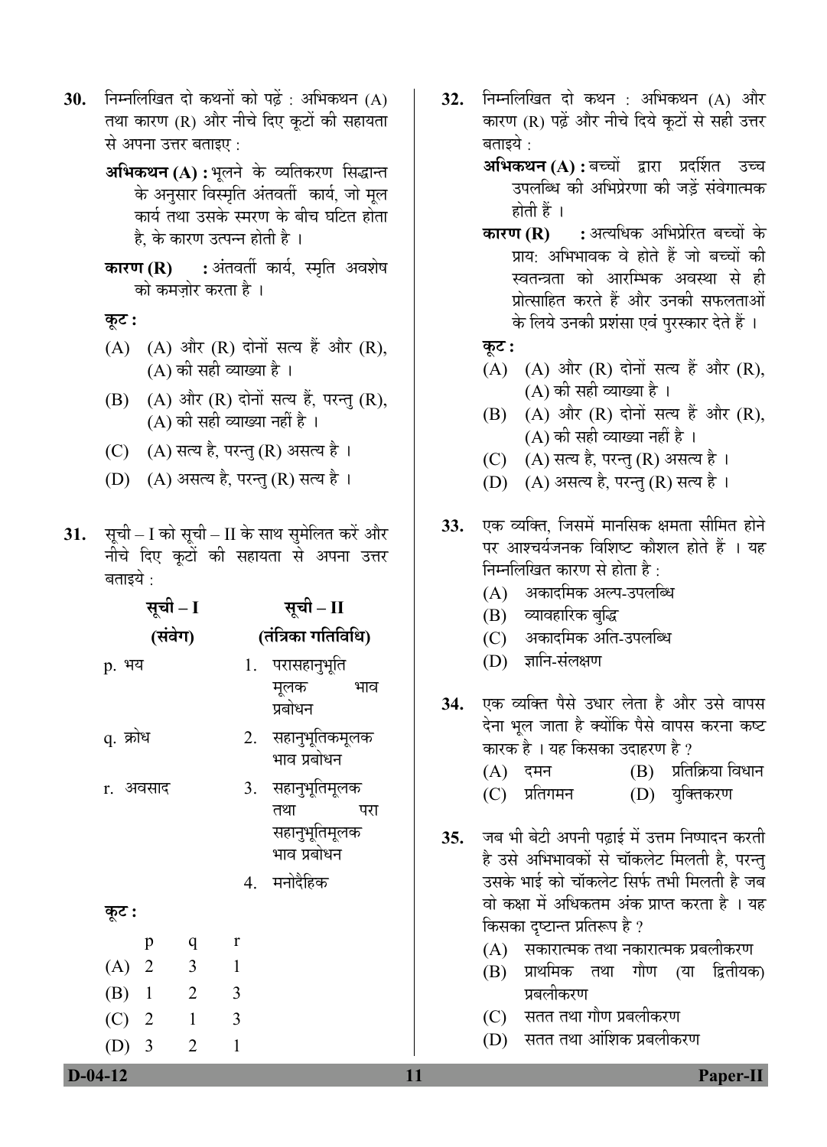- **30.** निम्नलिखित दो कथनों को पढ़ें : अभिकथन (A) तथा कारण (R) और नीचे दिए कूटों की सहायता से अपना उत्तर बताइए :
	- **अभिकथन (A) :** भुलने के व्यतिकरण सिद्धान्त के अनुसार विस्मृति अंतवर्ती कार्य, जो मूल कार्य तथा उसके स्मरण के बीच घटित होता है, के कारण उत्पन्न होती है ।
	- **कारण (R) :** अंतवर्ती कार्य, स्मृति अवशेष को कमजोर करता है ।

# **Ûæú™ü :**

- $(A)$   $(A)$  और  $(R)$  दोनों सत्य हैं और  $(R)$ ,  $(A)$  की सही व्याख्या है ।
- $(B)$   $(A)$  और  $(R)$  दोनों सत्य हैं, परन्तु  $(R)$ ,  $(A)$  की सही व्याख्या नहीं है ।
- (C) (A) सत्य है, परन्तु (R) असत्य है।
- (D) (A) असत्य है, परन्तु (R) सत्य है।
- 31. सूची I को सूची II के साथ सुमेलित करें और नीचे दिए कूटों की सहायता से अपना उत्तर बताइये $\, \cdot \,$

|                                 | सूची – I       |                    | सूची – II                                                              |     |  |
|---------------------------------|----------------|--------------------|------------------------------------------------------------------------|-----|--|
|                                 | (संवेग)        | (तंत्रिका गतिविधि) |                                                                        |     |  |
| p. भय                           |                |                    | 1. परासहानुभूति<br>मूलक<br>प्रबोधन                                     | भाव |  |
| q. क्रोध                        |                |                    | 2. सहानुभूतिकमूलक<br>भाव प्रबोधन                                       |     |  |
| r. अवसाद                        |                |                    | 3. सहानुभूतिमूलक<br>तथा<br>सहानुभूतिमूलक<br>भाव प्रबोधन<br>4. मनोदैहिक | परा |  |
| कूट :                           |                |                    |                                                                        |     |  |
| p                               | q              | r                  |                                                                        |     |  |
| $(A)$ 2                         | 3              | $\mathbf{1}$       |                                                                        |     |  |
| $(B)$ 1                         | $\overline{2}$ | 3                  |                                                                        |     |  |
| $(C)$ 2                         | $\mathbf{1}$   | 3                  |                                                                        |     |  |
| $\overline{\phantom{a}}$<br>(D) | $\overline{2}$ | $\mathbf{1}$       |                                                                        |     |  |

**32.** निम्नलिखित दो कथन : अभिकथन (A) और कारण (R) पढ़ें और नीचे दिये कूटों से सही उत्तर बताइये :

**अभिकथन (A) :** बच्चों द्वारा प्रदर्शित उच्च उपलब्धि की अभिप्रेरणा की जड़ें संवेगात्मक होती हैं ।

- **कारण (R) :** अत्यधिक अभिप्रेरित बच्चों के प्राय: अभिभावक वे होते हैं जो बच्चों की स्वतन्त्रता को आरम्भिक अवस्था से ही प्रोत्साहित करते हैं और उनकी सफलताओं के लिये उनकी प्रशंसा एवं पुरस्कार देते हैं ।
- **Ûæú™ü :**
- $(A)$   $(A)$  और  $(R)$  दोनों सत्य हैं और  $(R)$ , (A) की सही व्याख्या है ।
- $(B)$   $(A)$  और  $(R)$  दोनों सत्य हैं और  $(R)$ , (A) की सही व्याख्या नहीं है ।
- (C) (A) सत्य है, परन्तु (R) असत्य है।
- (D) (A) असत्य है, परन्तु (R) सत्य है।
- **33.** एक व्यक्ति, जिसमें मानसिक क्षमता सीमित होने पर आश्चर्यजनक विशिष्ट कौशल होते हैं । यह निम्नलिखित कारण से होता है :
	- (A) । अकादमिक अल्प-उपलब्धि
	- (B) व्यावहारिक बुद्धि
	- (C) । अकादमिक अति-उपलब्धि
	- (D) ज्ञानि-संलक्षण
- 34. एक व्यक्ति पैसे उधार लेता है और उसे वापस देना भुल जाता है क्योंकि पैसे वापस करना कष्ट कारक है । यह किसका उदाहरण है ?
	- $(A)$  दमन  $(B)$  प्रतिक्रिया विधान
	- (C) प्रतिगमन (D) युक्तिकरण
- 35. जब भी बेटी अपनी पढाई में उत्तम निष्पादन करती है उसे अभिभावकों से चॉकलेट मिलती है, परन्तु उसके भाई को चॉकलेट सिर्फ तभी मिलती है जब वो कक्षा में अधिकतम अंक प्राप्त करता है । यह किसका दृष्टान्त प्रतिरूप है ?
	- $(A)$  सकारात्मक तथा नकारात्मक प्रबलीकरण
	- (B) प्राथमिक तथा गौण (या द्वितीयक) प्रबलीकरण
	- (C) सतत तथा गौण प्रबलीकरण
	- (D) सतत तथा आंशिक प्रबलीकरण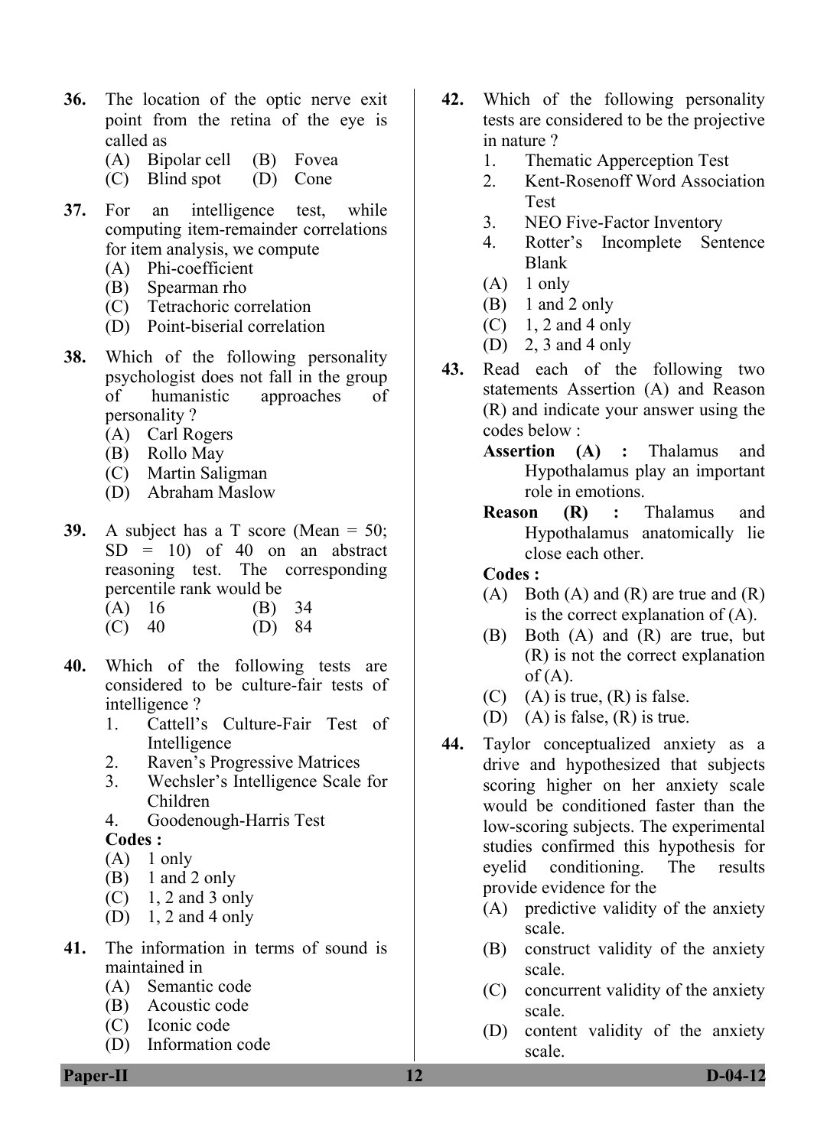- **36.** The location of the optic nerve exit point from the retina of the eye is called as
	- (A) Bipolar cell (B) Fovea
	- (C) Blind spot (D) Cone
- **37.** For an intelligence test, while computing item-remainder correlations for item analysis, we compute
	- (A) Phi-coefficient
	- (B) Spearman rho
	- (C) Tetrachoric correlation
	- (D) Point-biserial correlation
- **38.** Which of the following personality psychologist does not fall in the group of humanistic approaches of personality ?
	- (A) Carl Rogers
	- (B) Rollo May
	- (C) Martin Saligman
	- (D) Abraham Maslow
- **39.** A subject has a T score (Mean = 50;  $SD = 10$ ) of 40 on an abstract reasoning test. The corresponding percentile rank would be
	- (A) 16 (B) 34 (C) 40 (D) 84
- **40.** Which of the following tests are considered to be culture-fair tests of intelligence ?
	- 1. Cattell's Culture-Fair Test of Intelligence
	- 2. Raven's Progressive Matrices
	- 3. Wechsler's Intelligence Scale for Children
	- 4. Goodenough-Harris Test **Codes :**
	- $(A)$  1 only
	- (B) 1 and 2 only
	- $(C)$  1, 2 and 3 only
	- (D) 1, 2 and 4 only
- **41.** The information in terms of sound is maintained in
	- (A) Semantic code
	- (B) Acoustic code
	- (C) Iconic code
	- (D) Information code
- **42.** Which of the following personality tests are considered to be the projective in nature ?
	- 1. Thematic Apperception Test
	- 2. Kent-Rosenoff Word Association Test
	- 3. NEO Five-Factor Inventory
	- 4. Rotter's Incomplete Sentence Blank
	- $(A)$  1 only
	- (B) 1 and 2 only
	- $(C)$  1, 2 and 4 only
	- (D) 2, 3 and 4 only
- **43.** Read each of the following two statements Assertion (A) and Reason (R) and indicate your answer using the codes below :
	- **Assertion (A) :** Thalamus and Hypothalamus play an important role in emotions.
	- **Reason (R) :** Thalamus and Hypothalamus anatomically lie close each other.

- $(A)$  Both  $(A)$  and  $(R)$  are true and  $(R)$ is the correct explanation of (A).
- (B) Both (A) and (R) are true, but (R) is not the correct explanation  $of (A)$ .
- (C) (A) is true,  $(R)$  is false.
- (D) (A) is false,  $(R)$  is true.
- **44.** Taylor conceptualized anxiety as a drive and hypothesized that subjects scoring higher on her anxiety scale would be conditioned faster than the low-scoring subjects. The experimental studies confirmed this hypothesis for eyelid conditioning. The results provide evidence for the
	- (A) predictive validity of the anxiety scale.
	- (B) construct validity of the anxiety scale.
	- (C) concurrent validity of the anxiety scale.
	- (D) content validity of the anxiety scale.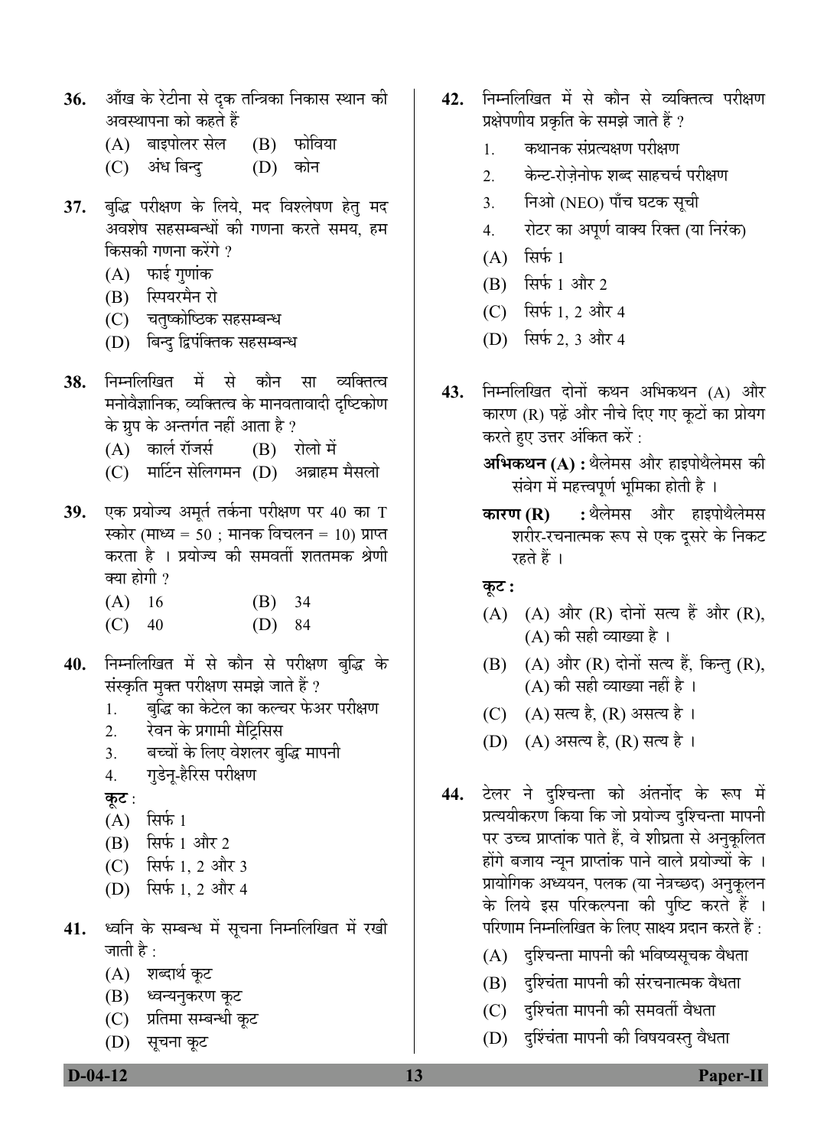- 36. औंख के रेटीना से दृक तन्त्रिका निकास स्थान की अवस्थापना को कहते हैं
	- (A) बाइपोलर सेल (B) फोविया
	- (C) अंध<sup>ि</sup>बन्दु (D) कोन
- 37. बुद्धि परीक्षण के लिये, मद विश्लेषण हेतु मद अवशेष सहसम्बन्धों की गणना करते समय, हम किसकी गणना करेंगे ?
	- $(A)$  फाई गणांक
	- (B) स्पियरमैन रो
	- (C) चतुष्कोष्ठिक सहसम्बन्ध
	- (D) बिन्द द्विपंक्तिक सहसम्बन्ध
- 38. निम्नलिखित में से कौन सा व्यक्तित्व मनोवैज्ञानिक, व्यक्तित्व के मानवतावादी दृष्टिकोण के ग्रुप के अन्तर्गत नहीं आता है ?
	- (A) कार्ल रॉजर्स (B) रोलो में
	- (C) मार्टिन सेलिगमन (D) अब्राहम मैसलो
- 39. एक प्रयोज्य अमूर्त तर्कना परीक्षण पर 40 का T स्कोर (माध्य = 50 ; मानक विचलन = 10) प्राप्त करता है । प्रयोज्य की समवर्ती शततमक श्रेणी क्या होगी ?
	- (A) 16 (B) 34 (C) 40 (D) 84
- 40. निम्नलिखित में से कौन से परीक्षण बुद्धि के संस्कृति मुक्त परीक्षण समझे जाते हैं ?
	- 1. बुद्धि का केटेल का कल्चर फेअर परीक्षण
	- 2. रेवन के प्रगामी मैट्रिसिस
	- 3. बच्चों के लिए वेशलर बुद्धि मापनी
	- 4. गडेन्-हैरिस परीक्षण
	- **कुट** :
	- $(A)$  सिर्फ 1
	- $(B)$  सिर्फ 1 और 2
	- $(C)$  सिर्फ 1, 2 और 3
	- $(D)$  सिर्फ 1, 2 और 4
- 41. ध्वनि के सम्बन्ध में सूचना निम्नलिखित में रखी जाती है :
	- (A) शब्दार्थ कुट
	- (B) ध्वन्यनुकरण कूट
	- (C) प्रतिमा सम्बन्धी कुट
	- (D) सूचना कूट
- **42.** निम्नलिखित में से कौन से व्यक्तित्व परीक्षण प्रक्षेपणीय प्रकृति के समझे जाते हैं ?
	- 1. कथानक संप्रत्यक्षण परीक्षण
	- 2. केन्ट-रोजेनोफ शब्द साहचर्च परीक्षण
	- 3. निओ (NEO) पाँच घटक सूची
	- 4. रोटर का अपूर्ण वाक्य रिक्त (या निरंक)
	- $(A)$  सिर्फ 1
	- $(B)$  सिर्फ 1 और 2
	- $(C)$  सिर्फ 1, 2 और 4
	- $(D)$  सिर्फ 2, 3 और 4
- **43.** निम्नलिखित दोनों कथन अभिकथन (A) और कारण (R) पढ़ें और नीचे दिए गए कुटों का प्रोयग करते हुए उत्तर अंकित करें :
	- **अभिकथन (A) :** थैलेमस और हाइपोथैलेमस की संवेग में महत्त्वपूर्ण भूमिका होती है ।
	- **कारण (R) :** थैलेमस और हाइपोथैलेमस शरीर-रचनात्मक रूप से एक दूसरे के निकट रहते हैं ।

 $\Phi$ **:** 

- $(A)$   $(A)$  और  $(R)$  दोनों सत्य हैं और  $(R)$ , (A) की सही व्याख्या है ।
- $(B)$   $(A)$  और  $(R)$  दोनों सत्य हैं, किन्तु  $(R)$ ,  $(A)$  की सही व्याख्या नहीं है ।
- (C) (A) सत्य है, (R) असत्य है ।
- (D) (A) असत्य है, (R) सत्य है।
- <del>44. टेलर ने दश्चिन्ता को अंतर्नोद के रूप में</del> प्रत्ययीकरण किया कि जो प्रयोज्य दश्चिन्ता मापनी पर उच्च प्राप्तांक पाते हैं, वे शीघ्रता से अनुकूलित होंगे बजाय न्यन प्राप्तांक पाने वाले प्रयोज्यों के । प्रायोगिक अध्ययन, पलक (या नेत्रच्छद) अनुकूलन के लिये इस परिकल्पना की पुष्टि करते हैं । परिणाम निम्नलिखित के लिए साक्ष्य प्रदान करते हैं :
	- $(A)$  दुश्चिन्ता मापनी की भविष्यसृचक वैधता
	- (B) दश्चिंता मापनी की संरचनात्मक वैधता
	- (C) दुश्चिंता मापनी की समवर्ती वैधता
	- (D) दृश्चिंता मापनी की विषयवस्तु वैधता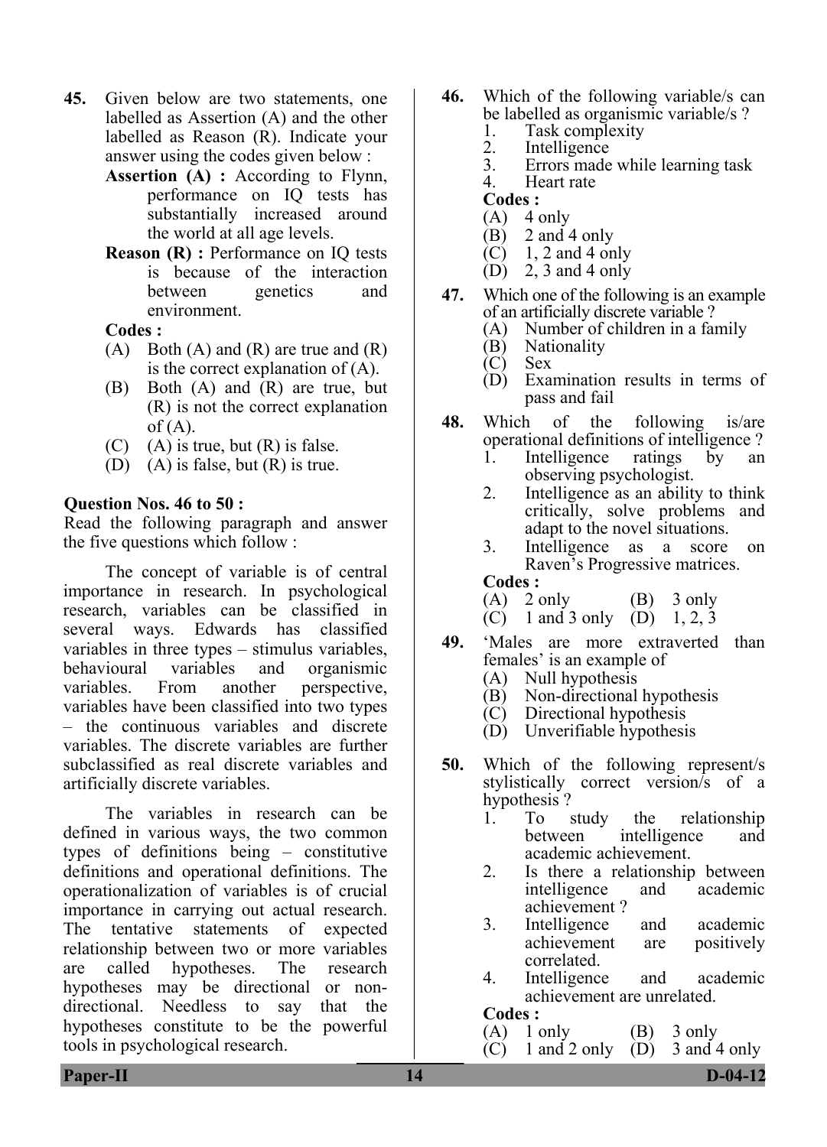- **45.** Given below are two statements, one labelled as Assertion (A) and the other labelled as Reason (R). Indicate your answer using the codes given below :
	- **Assertion (A) :** According to Flynn, performance on IQ tests has substantially increased around the world at all age levels.
	- **Reason (R) : Performance on IQ tests** is because of the interaction between genetics and environment.

- $(A)$  Both  $(A)$  and  $(R)$  are true and  $(R)$ is the correct explanation of (A).
- (B) Both (A) and (R) are true, but (R) is not the correct explanation  $of (A)$ .
- $(C)$  (A) is true, but  $(R)$  is false.
- (D) (A) is false, but (R) is true.

#### **Question Nos. 46 to 50 :**

Read the following paragraph and answer the five questions which follow :

 The concept of variable is of central importance in research. In psychological research, variables can be classified in several ways. Edwards has classified variables in three types – stimulus variables, behavioural variables and organismic variables. From another perspective, variables have been classified into two types – the continuous variables and discrete variables. The discrete variables are further subclassified as real discrete variables and artificially discrete variables.

 The variables in research can be defined in various ways, the two common types of definitions being – constitutive definitions and operational definitions. The operationalization of variables is of crucial importance in carrying out actual research. The tentative statements of expected relationship between two or more variables are called hypotheses. The research hypotheses may be directional or nondirectional. Needless to say that the hypotheses constitute to be the powerful tools in psychological research.

- **46.** Which of the following variable/s can be labelled as organismic variable/s ?<br>1. Task complexity
	- 1. Task complexity<br>2. Intelligence
	- 2. Intelligence<br>3 Errors made
	- 3. Errors made while learning task
	- Heart rate
	- **Codes :**
	- $(A)$  4 only
	- (B) 2 and 4 only
	- $(C)$  1, 2 and 4 only
	- (D) 2, 3 and 4 only
- **47.** Which one of the following is an example of an artificially discrete variable ?<br>(A) Number of children in a fai
	- Number of children in a family
	- (B) Nationality
	- (C) Sex
	- (D) Examination results in terms of pass and fail
- **48.** Which of the following is/are operational definitions of intelligence?<br>1 Intelligence ratings by an
	- Intelligence ratings by an observing psychologist.
	- 2. Intelligence as an ability to think critically, solve problems and adapt to the novel situations.
	- 3. Intelligence as a score on Raven's Progressive matrices. **Codes :**
	- $(A)$  2 only  $(B)$  3 only
	- (C) 1 and 3 only (D) 1, 2, 3
- **49.** 'Males are more extraverted than females' is an example of
	- (A) Null hypothesis<br>(B) Non-directional
	- Non-directional hypothesis
	- (C) Directional hypothesis
	- (D) Unverifiable hypothesis
- **50.** Which of the following represent/s stylistically correct version/s of a hypothesis ?
	- 1. To study the relationship intelligence and academic achievement.
	- 2. Is there a relationship between intelligence and academic achievement ?
	- 3. Intelligence and academic achievement are positively correlated.
	- 4. Intelligence and academic achievement are unrelated.

#### **Codes :**

- 
- (A)  $1$  only (B)  $3$  only (C)  $1$  and  $2$  only (D)  $3$  and  $4$  only  $(C)$  1 and 2 only  $(D)$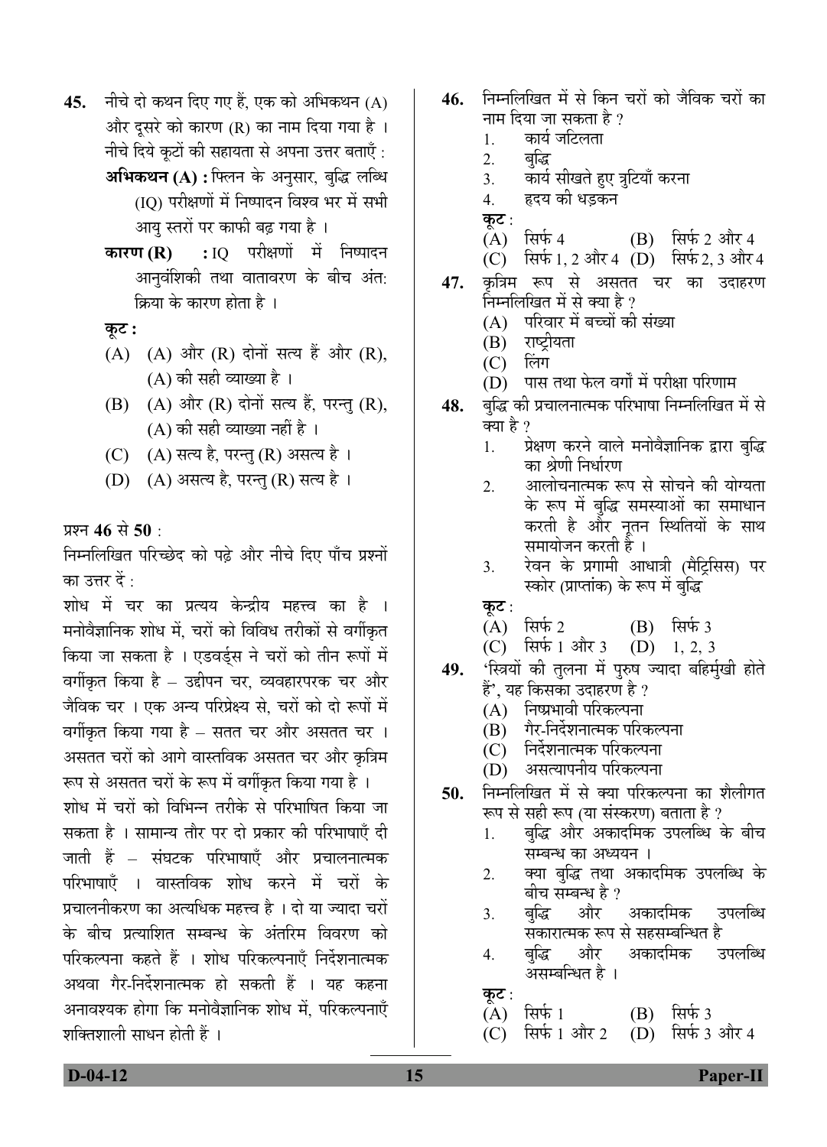- **45.** नीचे दो कथन दिए गए हैं. एक को अभिकथन (A) और दूसरे को कारण (R) का नाम दिया गया है । नीचे दिये कुटों की सहायता से अपना उत्तर बताएँ : **अभिकथन (A) :** फ्लिन के अनुसार, बुद्धि लब्धि (IQ) परीक्षणों में निष्पादन विश्व भर में सभी आय स्तरों पर काफी बढ़ गया है ।
	- **कारण (R) :** IQ परीक्षणों में निष्पादन आनुवंशिकी तथा वातावरण के बीच अंत: क्रिया के कारण होता है ।

 $\overline{\phi}$ :

- $(A)$   $(A)$  और  $(R)$  दोनों सत्य हैं और  $(R)$ ,  $(A)$  की सही व्याख्या है ।
- $(B)$   $(A)$  और  $(R)$  दोनों सत्य हैं, परन्तु  $(R)$ , (A) की सही व्याख्या नहीं है ।
- (C)  $(A)$  सत्य है, परन्तु (R) असत्य है।
- (D) (A) असत्य है, परन्तु (R) सत्य है।

प्रश्न 46 से 50 ·

निम्नलिखित परिच्छेद को पढे और नीचे दिए पाँच प्रश्नों का उत्तर दें :

शोध में चर का प्रत्यय केन्द्रीय महत्त्व का है । मनोवैज्ञानिक शोध में. चरों को विविध तरीकों से वर्गीकृत किया जा सकता है । एडवर्ड्स ने चरों को तीन रूपों में वर्गीकृत किया है – उद्दीपन चर, व्यवहारपरक चर और जैविक चर । एक अन्य परिप्रेक्ष्य से. चरों को दो रूपों में वर्गीकृत किया गया है – सतत चर और असतत चर । असतत चरों को आगे वास्तविक असतत चर और कृत्रिम रूप से असतत चरों के रूप में वर्गीकृत किया गया है ।

शोध में चरों को विभिन्न तरीके से परिभाषित किया जा सकता है । सामान्य तौर पर दो प्रकार की परिभाषाएँ दी जाती हें – संघटक परिभाषाएँ और प्रचालनात्मक परिभाषाएँ । वास्तविक शोध करने में चरों के प्रचालनीकरण का अत्यधिक महत्त्व है । दो या ज्यादा चरों के बीच प्रत्याशित सम्बन्ध के अंतरिम विवरण को परिकल्पना कहते हैं । शोध परिकल्पनाएँ निर्देशनात्मक अथवा गेर-निर्देशनात्मक हो सकती हैं । यह कहना अनावश्यक होगा कि मनोवैज्ञानिक शोध में. परिकल्पनाएँ शक्तिशाली साधन होती हैं ।

- 46. निम्नलिखित में से किन चरों को जैविक चरों का नाम दिया जा सकता है ?
	- 1. कार्य जटिलता<br>2. बद्धि
	- बद्धि
	- 3. कार्य सीखते हए त्रटियाँ करना
	- 4. हृदय की धडकन
	-
	- **कूट** :<br>(A) सिर्फ 4  $(B)$  सिर्फ 2 और 4
	- (C)  $\bar{R}$ फ़्रिफ़ 1, 2 और 4 (D) सिर्फ 2, 3 और 4
- 47. कत्रिम रूप से असतत चर का उदाहरण निम्नलिखित में से क्या है ?<br>(A) परिवार में बच्चों की
	- (A) परिवार में बच्चों की संख्या<br>(B) राष्ट्रीयता
	- राष्ट्रीयता<br>लिंग
	- $(C)$
	- $(D)$  पास तथा फेल वर्गों में परीक्षा परिणाम
- 48. बुद्धि की प्रचालनात्मक परिभाषा निम्नलिखित में से क्या है ?
	- 1. प्रेक्षण करने वाले मनोवैज्ञानिक द्वारा बुद्धि का श्रेणी निर्धारण
	- <u>2. आलोचनात्मक रूप से सोचने की योग्यता</u> के रूप में बुद्धि समस्याओं का समाधान करती है और नूतन स्थितियों के साथ समायोजन करती हैं ।
	- 3. रेवन के प्रगामी आधात्री (मैटिसिस) पर स्कोर (प्राप्तांक) के रूप में बद्धि
	- <u>कट :</u>
	- (A) सिर्फ 2 (B) सिर्फ 3<br>(C) सिर्फ 1 और 3 (D) 1, 2, 3
	- $(C)$  सिर्फ 1 और 3
- 49. 'स्त्रियों की तुलना में पुरुष ज्यादा बहिर्मुखी होते हैं', यह किसका उदाहरण है ?
	- (A) निष्प्रभावी परिकल्पना
	- (B) गैर-निर्देशनात्मक परिकल्पना
	- (C) निर्देशनात्मक परिकल्पना
	- (D) असत्यापनीय परिकल्पना
- **50.** निम्नलिखित में से क्या परिकल्पना का शैलीगत रूप से सही रूप (या संस्करण) बताता है ?
	- <u>1. बुद्धि</u> और अकादमिक उपलब्धि के बीच सम्बन्ध का अध्ययन ।
	- 2. क्या बुद्धि तथा अकादमिक उपलब्धि के<br> बीच सम्बन्ध है ?<br>3. बुद्धि और अकादमिक उपलब्धि
	- 3. ²Öãרü †Öî¸ü †ÛúÖ¤ü×´ÖÛú ˆ¯Ö»Öײ¬Ö ÃÖÛúÖ¸üÖŸ´ÖÛú ºþ¯Ö ÃÖê ÃÖÆüÃÖ´²Ö×®¬ÖŸÖ Æîü
	- 4. बुद्धि और<br>असम्बन्धित है ।
	- <u>क</u>ूट :
	- (A) सिर्फ 1 (B) सिर्फ 3<br>(C) सिर्फ 1 और 2 (D) सिर्फ 3
	- $(D)$  सिर्फ 3 और 4